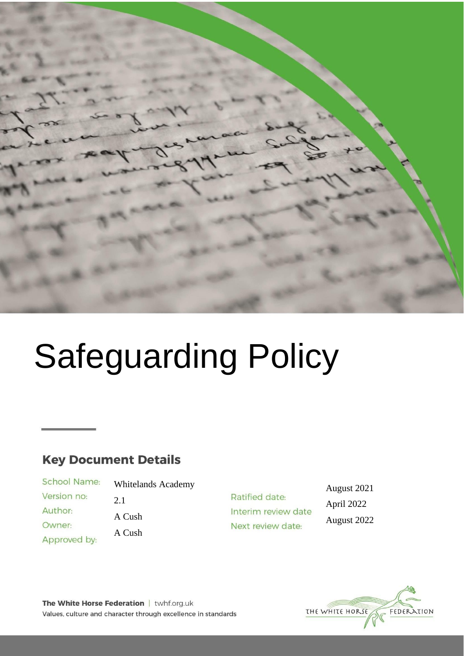

# Safeguarding Policy

# **Key Document Details**

School Name: Version no: Author: Owner: Approved by:

Whitelands Academy 2.1 A Cush A Cush

Ratified date: Interim review date Next review date:

August 2021 April 2022 August 2022

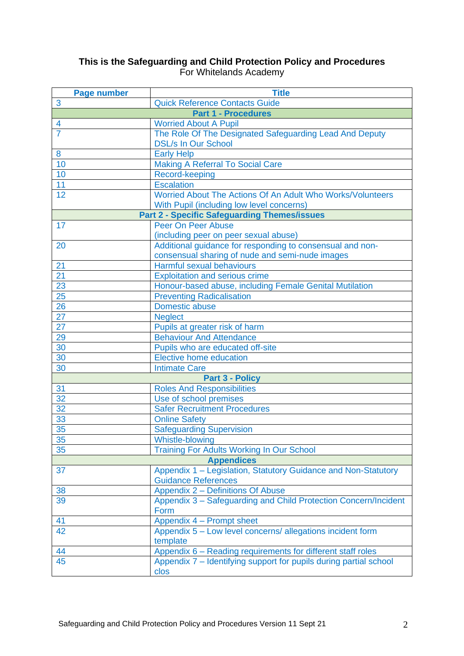## **This is the Safeguarding and Child Protection Policy and Procedures** For Whitelands Academy

| <b>Page number</b>         | <b>Title</b>                                                                                         |  |
|----------------------------|------------------------------------------------------------------------------------------------------|--|
| 3                          | <b>Quick Reference Contacts Guide</b>                                                                |  |
|                            | <b>Part 1 - Procedures</b>                                                                           |  |
| 4                          | <b>Worried About A Pupil</b>                                                                         |  |
| $\overline{7}$             | The Role Of The Designated Safeguarding Lead And Deputy                                              |  |
|                            | <b>DSL/s In Our School</b>                                                                           |  |
| 8                          | <b>Early Help</b>                                                                                    |  |
| 10                         | <b>Making A Referral To Social Care</b>                                                              |  |
| 10                         | Record-keeping                                                                                       |  |
| 11                         | <b>Escalation</b>                                                                                    |  |
| 12                         | Worried About The Actions Of An Adult Who Works/Volunteers                                           |  |
|                            | With Pupil (including low level concerns)                                                            |  |
|                            | <b>Part 2 - Specific Safeguarding Themes/issues</b>                                                  |  |
| 17                         | Peer On Peer Abuse                                                                                   |  |
|                            | (including peer on peer sexual abuse)                                                                |  |
| 20                         | Additional guidance for responding to consensual and non-                                            |  |
|                            | consensual sharing of nude and semi-nude images<br>Harmful sexual behaviours                         |  |
| 21<br>21                   |                                                                                                      |  |
|                            | <b>Exploitation and serious crime</b>                                                                |  |
| 23<br>25                   | Honour-based abuse, including Female Genital Mutilation                                              |  |
|                            | <b>Preventing Radicalisation</b><br>Domestic abuse                                                   |  |
| 26<br>27                   |                                                                                                      |  |
| 27                         | <b>Neglect</b>                                                                                       |  |
| 29                         | Pupils at greater risk of harm                                                                       |  |
|                            | <b>Behaviour And Attendance</b>                                                                      |  |
| 30<br>30                   | Pupils who are educated off-site                                                                     |  |
|                            | <b>Elective home education</b>                                                                       |  |
| 30<br><b>Intimate Care</b> |                                                                                                      |  |
|                            | <b>Part 3 - Policy</b>                                                                               |  |
| 31<br>32                   | <b>Roles And Responsibilities</b>                                                                    |  |
| 32                         | Use of school premises                                                                               |  |
|                            | <b>Safer Recruitment Procedures</b>                                                                  |  |
| 33                         | <b>Online Safety</b>                                                                                 |  |
| 35                         | <b>Safeguarding Supervision</b>                                                                      |  |
| 35                         | <b>Whistle-blowing</b>                                                                               |  |
|                            | 35<br><b>Training For Adults Working In Our School</b>                                               |  |
|                            | <b>Appendices</b>                                                                                    |  |
| 37                         | Appendix 1 - Legislation, Statutory Guidance and Non-Statutory                                       |  |
|                            | <b>Guidance References</b>                                                                           |  |
| 38<br>39                   | Appendix 2 - Definitions Of Abuse<br>Appendix 3 - Safeguarding and Child Protection Concern/Incident |  |
|                            |                                                                                                      |  |
| 41                         | Form                                                                                                 |  |
| 42                         | Appendix 4 – Prompt sheet<br>Appendix 5 - Low level concerns/ allegations incident form              |  |
|                            | template                                                                                             |  |
| 44                         | Appendix 6 - Reading requirements for different staff roles                                          |  |
| 45                         | Appendix 7 – Identifying support for pupils during partial school                                    |  |
|                            | clos                                                                                                 |  |
|                            |                                                                                                      |  |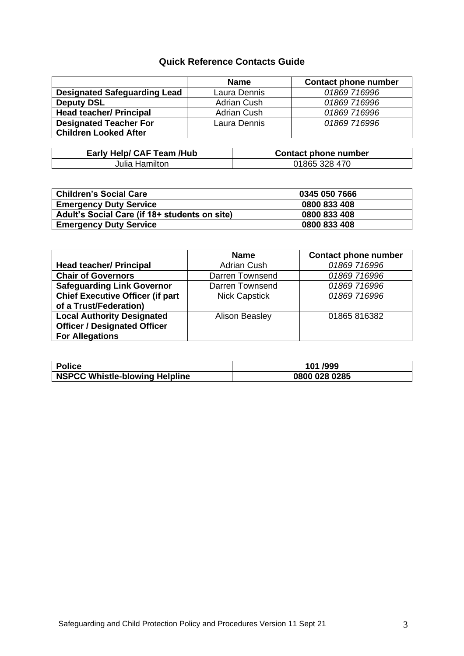## **Quick Reference Contacts Guide**

|                                     | <b>Name</b>        | <b>Contact phone number</b> |
|-------------------------------------|--------------------|-----------------------------|
| <b>Designated Safeguarding Lead</b> | Laura Dennis       | 01869 716996                |
| <b>Deputy DSL</b>                   | <b>Adrian Cush</b> | 01869 716996                |
| <b>Head teacher/ Principal</b>      | <b>Adrian Cush</b> | 01869 716996                |
| <b>Designated Teacher For</b>       | Laura Dennis       | 01869 716996                |
| <b>Children Looked After</b>        |                    |                             |

| Early Help/ CAF Team /Hub | <b>Contact phone number</b> |
|---------------------------|-----------------------------|
| Julia Hamilton            | 01865 328 470               |

| Children's Social Care                        | 0345 050 7666 |
|-----------------------------------------------|---------------|
| <b>Emergency Duty Service</b>                 | 0800 833 408  |
| Adult's Social Care (if 18+ students on site) | 0800 833 408  |
| <b>Emergency Duty Service</b>                 | 0800 833 408  |

|                                         | <b>Name</b>           | <b>Contact phone number</b> |
|-----------------------------------------|-----------------------|-----------------------------|
| <b>Head teacher/ Principal</b>          | <b>Adrian Cush</b>    | 01869 716996                |
| <b>Chair of Governors</b>               | Darren Townsend       | 01869 716996                |
| <b>Safeguarding Link Governor</b>       | Darren Townsend       | 01869 716996                |
| <b>Chief Executive Officer (if part</b> | <b>Nick Capstick</b>  | 01869 716996                |
| of a Trust/Federation)                  |                       |                             |
| <b>Local Authority Designated</b>       | <b>Alison Beasley</b> | 01865 816382                |
| <b>Officer / Designated Officer</b>     |                       |                             |
| <b>For Allegations</b>                  |                       |                             |

| <b>Police</b>                         | 101/999       |
|---------------------------------------|---------------|
| <b>NSPCC Whistle-blowing Helpline</b> | 0800 028 0285 |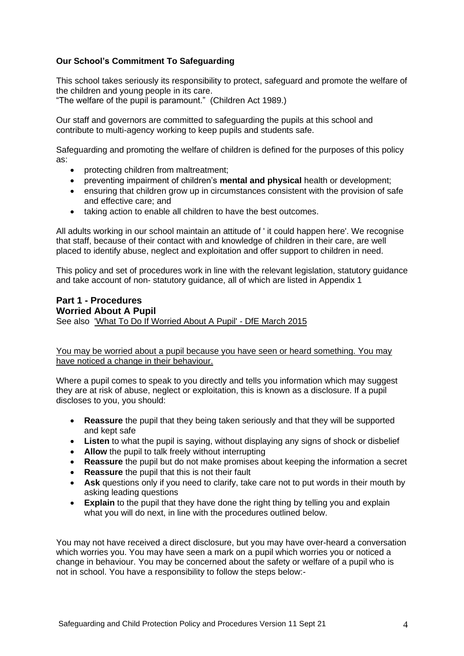## **Our School's Commitment To Safeguarding**

This school takes seriously its responsibility to protect, safeguard and promote the welfare of the children and young people in its care.

"The welfare of the pupil is paramount." (Children Act 1989.)

Our staff and governors are committed to safeguarding the pupils at this school and contribute to multi-agency working to keep pupils and students safe.

Safeguarding and promoting the welfare of children is defined for the purposes of this policy as:

- protecting children from maltreatment;
- preventing impairment of children's **mental and physical** health or development;
- ensuring that children grow up in circumstances consistent with the provision of safe and effective care; and
- taking action to enable all children to have the best outcomes.

All adults working in our school maintain an attitude of ' it could happen here'. We recognise that staff, because of their contact with and knowledge of children in their care, are well placed to identify abuse, neglect and exploitation and offer support to children in need.

This policy and set of procedures work in line with the relevant legislation, statutory guidance and take account of non- statutory guidance, all of which are listed in Appendix 1

#### **Part 1 - Procedures Worried About A Pupil** See also ['What To Do If Worried About A Pupil' -](https://www.gov.uk/government/publications/what-to-do-if-youre-worried-a-child-is-being-abused--2) DfE March 2015

You may be worried about a pupil because you have seen or heard something. You may have noticed a change in their behaviour.

Where a pupil comes to speak to you directly and tells you information which may suggest they are at risk of abuse, neglect or exploitation, this is known as a disclosure. If a pupil discloses to you, you should:

- **Reassure** the pupil that they being taken seriously and that they will be supported and kept safe
- **Listen** to what the pupil is saying, without displaying any signs of shock or disbelief
- **Allow** the pupil to talk freely without interrupting
- **Reassure** the pupil but do not make promises about keeping the information a secret
- **Reassure** the pupil that this is not their fault
- **Ask** questions only if you need to clarify, take care not to put words in their mouth by asking leading questions
- **Explain** to the pupil that they have done the right thing by telling you and explain what you will do next, in line with the procedures outlined below.

You may not have received a direct disclosure, but you may have over-heard a conversation which worries you. You may have seen a mark on a pupil which worries you or noticed a change in behaviour. You may be concerned about the safety or welfare of a pupil who is not in school. You have a responsibility to follow the steps below:-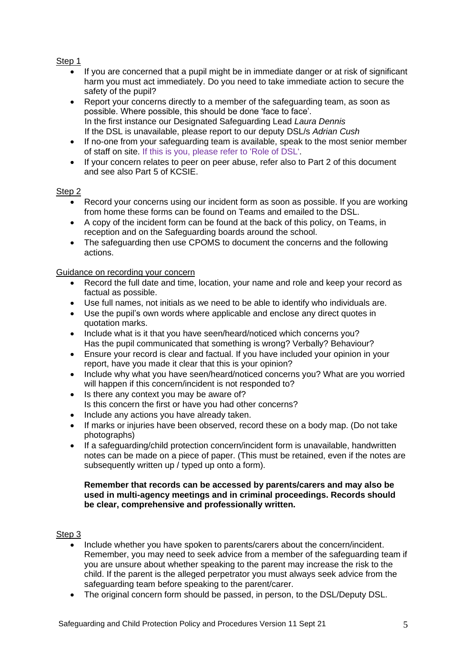## Step 1

- If you are concerned that a pupil might be in immediate danger or at risk of significant harm you must act immediately. Do you need to take immediate action to secure the safety of the pupil?
- Report your concerns directly to a member of the safeguarding team, as soon as possible. Where possible, this should be done 'face to face'. In the first instance our Designated Safeguarding Lead *Laura Dennis* If the DSL is unavailable, please report to our deputy DSL/s *Adrian Cush*
- If no-one from your safeguarding team is available, speak to the most senior member of staff on site. If this is you, please refer to 'Role of DSL'.
- If your concern relates to peer on peer abuse, refer also to Part 2 of this document and see also Part 5 of KCSIE.

## Step 2

- Record your concerns using our incident form as soon as possible. If you are working from home these forms can be found on Teams and emailed to the DSL.
- A copy of the incident form can be found at the back of this policy, on Teams, in reception and on the Safeguarding boards around the school.
- The safeguarding then use CPOMS to document the concerns and the following actions.

Guidance on recording your concern

- Record the full date and time, location, your name and role and keep your record as factual as possible.
- Use full names, not initials as we need to be able to identify who individuals are.
- Use the pupil's own words where applicable and enclose any direct quotes in quotation marks.
- Include what is it that you have seen/heard/noticed which concerns you? Has the pupil communicated that something is wrong? Verbally? Behaviour?
- Ensure your record is clear and factual. If you have included your opinion in your report, have you made it clear that this is your opinion?
- Include why what you have seen/heard/noticed concerns you? What are you worried will happen if this concern/incident is not responded to?
- Is there any context you may be aware of? Is this concern the first or have you had other concerns?
- Include any actions you have already taken.
- If marks or injuries have been observed, record these on a body map. (Do not take photographs)
- If a safeguarding/child protection concern/incident form is unavailable, handwritten notes can be made on a piece of paper. (This must be retained, even if the notes are subsequently written up / typed up onto a form).

## **Remember that records can be accessed by parents/carers and may also be used in multi-agency meetings and in criminal proceedings. Records should be clear, comprehensive and professionally written.**

## Step 3

- Include whether you have spoken to parents/carers about the concern/incident. Remember, you may need to seek advice from a member of the safeguarding team if you are unsure about whether speaking to the parent may increase the risk to the child. If the parent is the alleged perpetrator you must always seek advice from the safeguarding team before speaking to the parent/carer.
- The original concern form should be passed, in person, to the DSL/Deputy DSL.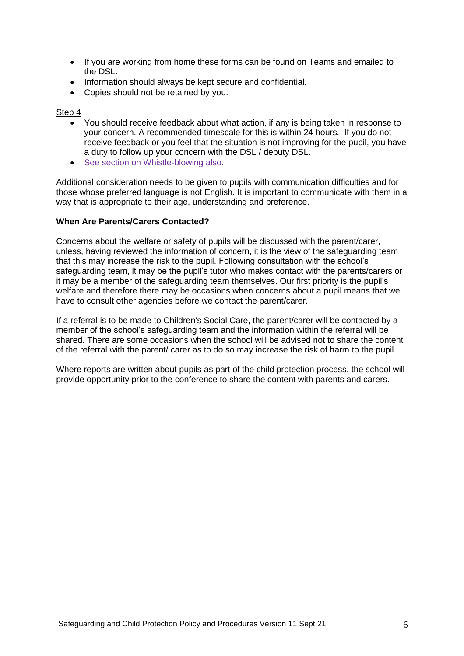- If you are working from home these forms can be found on Teams and emailed to the DSL.
- Information should always be kept secure and confidential.
- Copies should not be retained by you.

#### Step 4

- You should receive feedback about what action, if any is being taken in response to your concern. A recommended timescale for this is within 24 hours. If you do not receive feedback or you feel that the situation is not improving for the pupil, you have a duty to follow up your concern with the DSL / deputy DSL.
- See section on Whistle-blowing also.

Additional consideration needs to be given to pupils with communication difficulties and for those whose preferred language is not English. It is important to communicate with them in a way that is appropriate to their age, understanding and preference.

## **When Are Parents/Carers Contacted?**

Concerns about the welfare or safety of pupils will be discussed with the parent/carer, unless, having reviewed the information of concern, it is the view of the safeguarding team that this may increase the risk to the pupil. Following consultation with the school's safeguarding team, it may be the pupil's tutor who makes contact with the parents/carers or it may be a member of the safeguarding team themselves. Our first priority is the pupil's welfare and therefore there may be occasions when concerns about a pupil means that we have to consult other agencies before we contact the parent/carer.

If a referral is to be made to Children's Social Care, the parent/carer will be contacted by a member of the school's safeguarding team and the information within the referral will be shared. There are some occasions when the school will be advised not to share the content of the referral with the parent/ carer as to do so may increase the risk of harm to the pupil.

Where reports are written about pupils as part of the child protection process, the school will provide opportunity prior to the conference to share the content with parents and carers.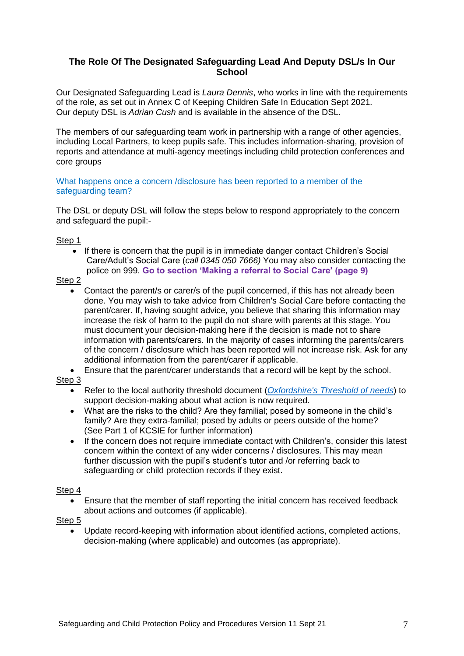## **The Role Of The Designated Safeguarding Lead And Deputy DSL/s In Our School**

Our Designated Safeguarding Lead is *Laura Dennis*, who works in line with the requirements of the role, as set out in Annex C of Keeping Children Safe In Education Sept 2021. Our deputy DSL is *Adrian Cush* and is available in the absence of the DSL.

The members of our safeguarding team work in partnership with a range of other agencies, including Local Partners, to keep pupils safe. This includes information-sharing, provision of reports and attendance at multi-agency meetings including child protection conferences and core groups

#### What happens once a concern /disclosure has been reported to a member of the safeguarding team?

The DSL or deputy DSL will follow the steps below to respond appropriately to the concern and safeguard the pupil:-

Step 1

• If there is concern that the pupil is in immediate danger contact Children's Social Care/Adult's Social Care (*call 0345 050 7666)* You may also consider contacting the police on 999. **Go to section 'Making a referral to Social Care' (page 9)**

### Step 2

• Contact the parent/s or carer/s of the pupil concerned, if this has not already been done. You may wish to take advice from Children's Social Care before contacting the parent/carer. If, having sought advice, you believe that sharing this information may increase the risk of harm to the pupil do not share with parents at this stage. You must document your decision-making here if the decision is made not to share information with parents/carers. In the majority of cases informing the parents/carers of the concern / disclosure which has been reported will not increase risk. Ask for any additional information from the parent/carer if applicable.

• Ensure that the parent/carer understands that a record will be kept by the school.

## Step 3

- Refer to the local authority threshold document (*[Oxfordshire's Threshold of needs](https://www.oxfordshire.gov.uk/residents/children-education-and-families/childrens-services/integrated-childrens-services/threshold-needs)*) to support decision-making about what action is now required.
- What are the risks to the child? Are they familial; posed by someone in the child's family? Are they extra-familial; posed by adults or peers outside of the home? (See Part 1 of KCSIE for further information)
- If the concern does not require immediate contact with Children's, consider this latest concern within the context of any wider concerns / disclosures. This may mean further discussion with the pupil's student's tutor and /or referring back to safeguarding or child protection records if they exist.

## Step 4

• Ensure that the member of staff reporting the initial concern has received feedback about actions and outcomes (if applicable).

Step 5

• Update record-keeping with information about identified actions, completed actions, decision-making (where applicable) and outcomes (as appropriate).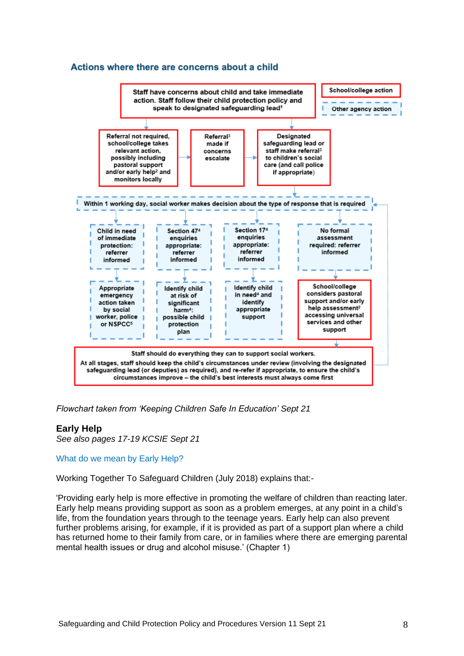### Actions where there are concerns about a child



*Flowchart taken from 'Keeping Children Safe In Education' Sept 21*

## **Early Help**

*See also pages 17-19 KCSIE Sept 21*

#### What do we mean by Early Help?

Working Together To Safeguard Children (July 2018) explains that:-

'Providing early help is more effective in promoting the welfare of children than reacting later. Early help means providing support as soon as a problem emerges, at any point in a child's life, from the foundation years through to the teenage years. Early help can also prevent further problems arising, for example, if it is provided as part of a support plan where a child has returned home to their family from care, or in families where there are emerging parental mental health issues or drug and alcohol misuse.' (Chapter 1)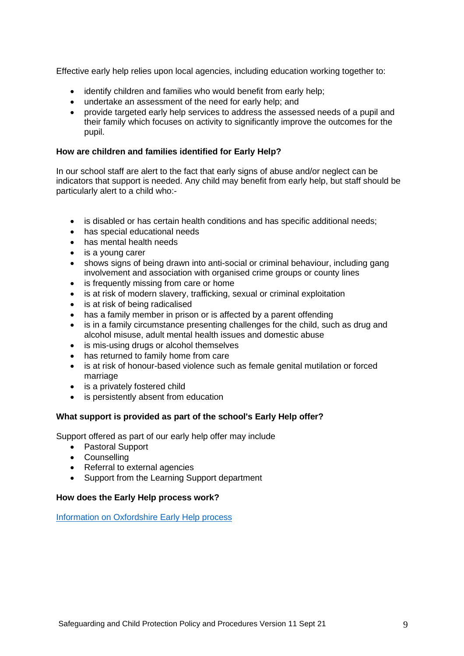Effective early help relies upon local agencies, including education working together to:

- identify children and families who would benefit from early help;
- undertake an assessment of the need for early help; and
- provide targeted early help services to address the assessed needs of a pupil and their family which focuses on activity to significantly improve the outcomes for the pupil.

## **How are children and families identified for Early Help?**

In our school staff are alert to the fact that early signs of abuse and/or neglect can be indicators that support is needed. Any child may benefit from early help, but staff should be particularly alert to a child who:-

- is disabled or has certain health conditions and has specific additional needs;
- has special educational needs
- has mental health needs
- is a young carer
- shows signs of being drawn into anti-social or criminal behaviour, including gang involvement and association with organised crime groups or county lines
- is frequently missing from care or home
- is at risk of modern slavery, trafficking, sexual or criminal exploitation
- is at risk of being radicalised
- has a family member in prison or is affected by a parent offending
- is in a family circumstance presenting challenges for the child, such as drug and alcohol misuse, adult mental health issues and domestic abuse
- is mis-using drugs or alcohol themselves
- has returned to family home from care
- is at risk of honour-based violence such as female genital mutilation or forced marriage
- is a privately fostered child
- is persistently absent from education

## **What support is provided as part of the school's Early Help offer?**

Support offered as part of our early help offer may include

- Pastoral Support
- Counselling
- Referral to external agencies
- Support from the Learning Support department

## **How does the Early Help process work?**

[Information on Oxfordshire Early Help process](https://www.oxfordshire.gov.uk/residents/children-education-and-families/childrens-services/integrated-childrens-services/early-help-assessment)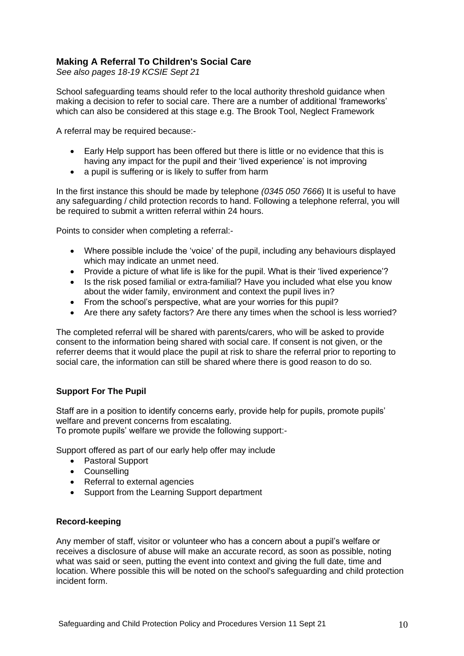## **Making A Referral To Children's Social Care**

*See also pages 18-19 KCSIE Sept 21* 

School safeguarding teams should refer to the local authority threshold guidance when making a decision to refer to social care. There are a number of additional 'frameworks' which can also be considered at this stage e.g. The Brook Tool, Neglect Framework

A referral may be required because:-

- Early Help support has been offered but there is little or no evidence that this is having any impact for the pupil and their 'lived experience' is not improving
- a pupil is suffering or is likely to suffer from harm

In the first instance this should be made by telephone *(0345 050 7666*) It is useful to have any safeguarding / child protection records to hand. Following a telephone referral, you will be required to submit a written referral within 24 hours.

Points to consider when completing a referral:-

- Where possible include the 'voice' of the pupil, including any behaviours displayed which may indicate an unmet need.
- Provide a picture of what life is like for the pupil. What is their 'lived experience'?
- Is the risk posed familial or extra-familial? Have you included what else you know about the wider family, environment and context the pupil lives in?
- From the school's perspective, what are your worries for this pupil?
- Are there any safety factors? Are there any times when the school is less worried?

The completed referral will be shared with parents/carers, who will be asked to provide consent to the information being shared with social care. If consent is not given, or the referrer deems that it would place the pupil at risk to share the referral prior to reporting to social care, the information can still be shared where there is good reason to do so.

## **Support For The Pupil**

Staff are in a position to identify concerns early, provide help for pupils, promote pupils' welfare and prevent concerns from escalating.

To promote pupils' welfare we provide the following support:-

Support offered as part of our early help offer may include

- Pastoral Support
- Counselling
- Referral to external agencies
- Support from the Learning Support department

#### **Record-keeping**

Any member of staff, visitor or volunteer who has a concern about a pupil's welfare or receives a disclosure of abuse will make an accurate record, as soon as possible, noting what was said or seen, putting the event into context and giving the full date, time and location. Where possible this will be noted on the school's safeguarding and child protection incident form.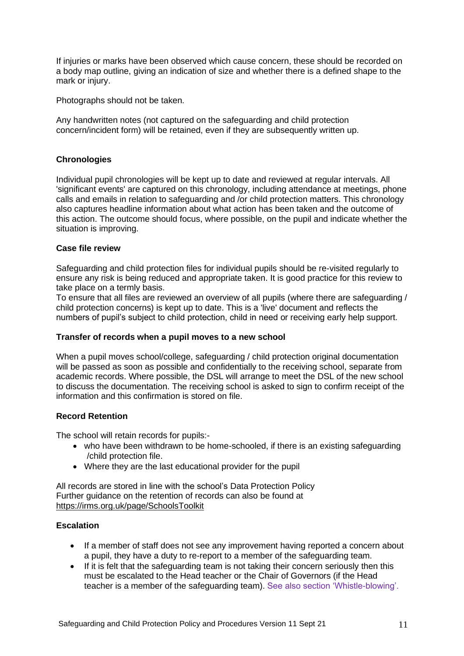If injuries or marks have been observed which cause concern, these should be recorded on a body map outline, giving an indication of size and whether there is a defined shape to the mark or injury.

Photographs should not be taken.

Any handwritten notes (not captured on the safeguarding and child protection concern/incident form) will be retained, even if they are subsequently written up.

## **Chronologies**

Individual pupil chronologies will be kept up to date and reviewed at regular intervals. All 'significant events' are captured on this chronology, including attendance at meetings, phone calls and emails in relation to safeguarding and /or child protection matters. This chronology also captures headline information about what action has been taken and the outcome of this action. The outcome should focus, where possible, on the pupil and indicate whether the situation is improving.

#### **Case file review**

Safeguarding and child protection files for individual pupils should be re-visited regularly to ensure any risk is being reduced and appropriate taken. It is good practice for this review to take place on a termly basis.

To ensure that all files are reviewed an overview of all pupils (where there are safeguarding / child protection concerns) is kept up to date. This is a 'live' document and reflects the numbers of pupil's subject to child protection, child in need or receiving early help support.

## **Transfer of records when a pupil moves to a new school**

When a pupil moves school/college, safeguarding / child protection original documentation will be passed as soon as possible and confidentially to the receiving school, separate from academic records. Where possible, the DSL will arrange to meet the DSL of the new school to discuss the documentation. The receiving school is asked to sign to confirm receipt of the information and this confirmation is stored on file.

## **Record Retention**

The school will retain records for pupils:-

- who have been withdrawn to be home-schooled, if there is an existing safeguarding /child protection file.
- Where they are the last educational provider for the pupil

All records are stored in line with the school's Data Protection Policy Further guidance on the retention of records can also be found at <https://irms.org.uk/page/SchoolsToolkit>

## **Escalation**

- If a member of staff does not see any improvement having reported a concern about a pupil, they have a duty to re-report to a member of the safeguarding team.
- If it is felt that the safeguarding team is not taking their concern seriously then this must be escalated to the Head teacher or the Chair of Governors (if the Head teacher is a member of the safeguarding team). See also section 'Whistle-blowing'.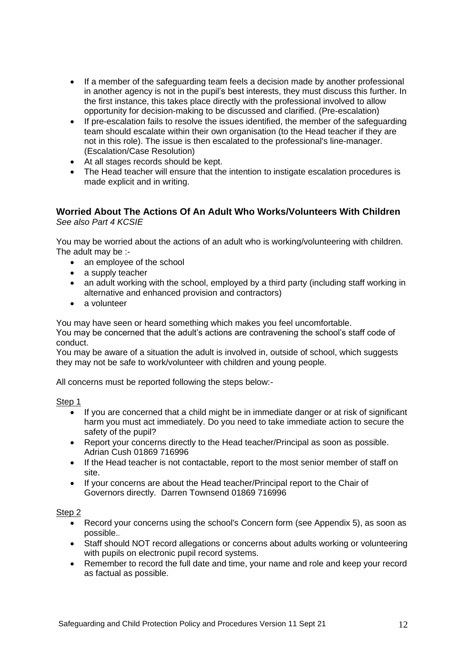- If a member of the safeguarding team feels a decision made by another professional in another agency is not in the pupil's best interests, they must discuss this further. In the first instance, this takes place directly with the professional involved to allow opportunity for decision-making to be discussed and clarified. (Pre-escalation)
- If pre-escalation fails to resolve the issues identified, the member of the safeguarding team should escalate within their own organisation (to the Head teacher if they are not in this role). The issue is then escalated to the professional's line-manager. (Escalation/Case Resolution)
- At all stages records should be kept.
- The Head teacher will ensure that the intention to instigate escalation procedures is made explicit and in writing.

## **Worried About The Actions Of An Adult Who Works/Volunteers With Children** *See also Part 4 KCSIE*

You may be worried about the actions of an adult who is working/volunteering with children. The adult may be :-

- an employee of the school
- a supply teacher
- an adult working with the school, employed by a third party (including staff working in alternative and enhanced provision and contractors)
- a volunteer

You may have seen or heard something which makes you feel uncomfortable.

You may be concerned that the adult's actions are contravening the school's staff code of conduct.

You may be aware of a situation the adult is involved in, outside of school, which suggests they may not be safe to work/volunteer with children and young people.

All concerns must be reported following the steps below:-

Step 1

- If you are concerned that a child might be in immediate danger or at risk of significant harm you must act immediately. Do you need to take immediate action to secure the safety of the pupil?
- Report your concerns directly to the Head teacher/Principal as soon as possible. Adrian Cush 01869 716996
- If the Head teacher is not contactable, report to the most senior member of staff on site.
- If your concerns are about the Head teacher/Principal report to the Chair of Governors directly. Darren Townsend 01869 716996

## Step 2

- Record your concerns using the school's Concern form (see Appendix 5), as soon as possible.*.*
- Staff should NOT record allegations or concerns about adults working or volunteering with pupils on electronic pupil record systems.
- Remember to record the full date and time, your name and role and keep your record as factual as possible.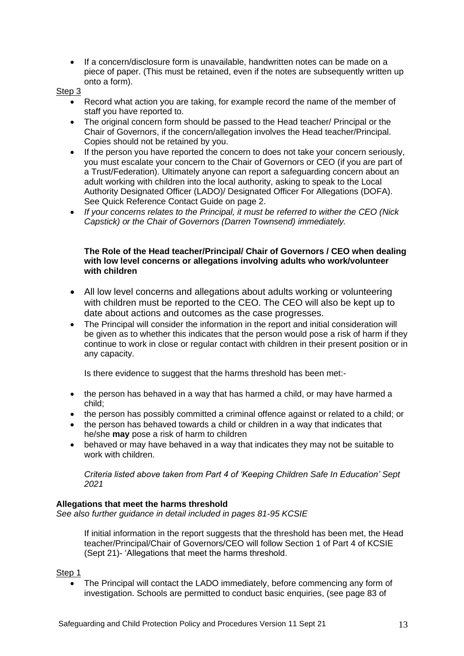• If a concern/disclosure form is unavailable, handwritten notes can be made on a piece of paper. (This must be retained, even if the notes are subsequently written up onto a form).

Step 3

- Record what action you are taking, for example record the name of the member of staff you have reported to.
- The original concern form should be passed to the Head teacher/ Principal or the Chair of Governors, if the concern/allegation involves the Head teacher/Principal. Copies should not be retained by you.
- If the person you have reported the concern to does not take your concern seriously, you must escalate your concern to the Chair of Governors or CEO (if you are part of a Trust/Federation). Ultimately anyone can report a safeguarding concern about an adult working with children into the local authority, asking to speak to the Local Authority Designated Officer (LADO)/ Designated Officer For Allegations (DOFA). See Quick Reference Contact Guide on page 2.
- *If your concerns relates to the Principal, it must be referred to wither the CEO (Nick Capstick) or the Chair of Governors (Darren Townsend) immediately.*

#### **The Role of the Head teacher/Principal/ Chair of Governors / CEO when dealing with low level concerns or allegations involving adults who work/volunteer with children**

- All low level concerns and allegations about adults working or volunteering with children must be reported to the CEO. The CEO will also be kept up to date about actions and outcomes as the case progresses.
- The Principal will consider the information in the report and initial consideration will be given as to whether this indicates that the person would pose a risk of harm if they continue to work in close or regular contact with children in their present position or in any capacity.

Is there evidence to suggest that the harms threshold has been met:-

- the person has behaved in a way that has harmed a child, or may have harmed a child;
- the person has possibly committed a criminal offence against or related to a child; or
- the person has behaved towards a child or children in a way that indicates that he/she **may** pose a risk of harm to children
- behaved or may have behaved in a way that indicates they may not be suitable to work with children.

*Criteria listed above taken from Part 4 of 'Keeping Children Safe In Education' Sept 2021*

## **Allegations that meet the harms threshold**

*See also further guidance in detail included in pages 81-95 KCSIE*

If initial information in the report suggests that the threshold has been met, the Head teacher/Principal/Chair of Governors/CEO will follow Section 1 of Part 4 of KCSIE (Sept 21)- 'Allegations that meet the harms threshold.

Step 1

• The Principal will contact the LADO immediately, before commencing any form of investigation. Schools are permitted to conduct basic enquiries, (see page 83 of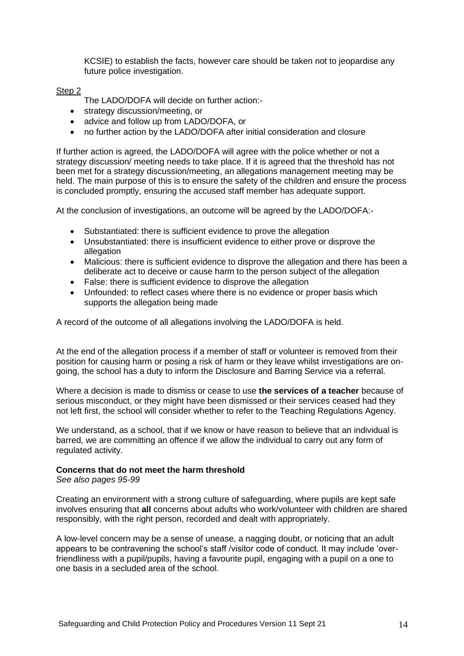KCSIE) to establish the facts, however care should be taken not to jeopardise any future police investigation.

#### Step<sub>2</sub>

The LADO/DOFA will decide on further action:-

- strategy discussion/meeting, or
- advice and follow up from LADO/DOFA, or
- no further action by the LADO/DOFA after initial consideration and closure

If further action is agreed, the LADO/DOFA will agree with the police whether or not a strategy discussion/ meeting needs to take place. If it is agreed that the threshold has not been met for a strategy discussion/meeting, an allegations management meeting may be held. The main purpose of this is to ensure the safety of the children and ensure the process is concluded promptly, ensuring the accused staff member has adequate support.

At the conclusion of investigations, an outcome will be agreed by the LADO/DOFA:-

- Substantiated: there is sufficient evidence to prove the allegation
- Unsubstantiated: there is insufficient evidence to either prove or disprove the allegation
- Malicious: there is sufficient evidence to disprove the allegation and there has been a deliberate act to deceive or cause harm to the person subject of the allegation
- False: there is sufficient evidence to disprove the allegation
- Unfounded: to reflect cases where there is no evidence or proper basis which supports the allegation being made

A record of the outcome of all allegations involving the LADO/DOFA is held.

At the end of the allegation process if a member of staff or volunteer is removed from their position for causing harm or posing a risk of harm or they leave whilst investigations are ongoing, the school has a duty to inform the Disclosure and Barring Service via a referral.

Where a decision is made to dismiss or cease to use **the services of a teacher** because of serious misconduct, or they might have been dismissed or their services ceased had they not left first, the school will consider whether to refer to the Teaching Regulations Agency.

We understand, as a school, that if we know or have reason to believe that an individual is barred, we are committing an offence if we allow the individual to carry out any form of regulated activity.

#### **Concerns that do not meet the harm threshold**

*See also pages 95-99*

Creating an environment with a strong culture of safeguarding, where pupils are kept safe involves ensuring that **all** concerns about adults who work/volunteer with children are shared responsibly, with the right person, recorded and dealt with appropriately.

A low-level concern may be a sense of unease, a nagging doubt, or noticing that an adult appears to be contravening the school's staff /visitor code of conduct. It may include 'overfriendliness with a pupil/pupils, having a favourite pupil, engaging with a pupil on a one to one basis in a secluded area of the school.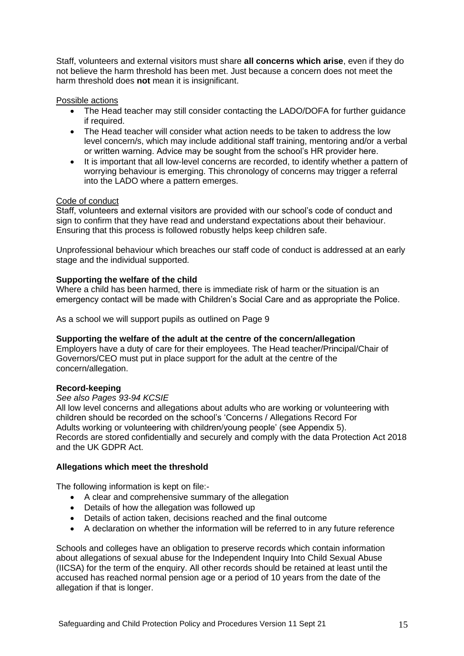Staff, volunteers and external visitors must share **all concerns which arise**, even if they do not believe the harm threshold has been met. Just because a concern does not meet the harm threshold does **not** mean it is insignificant.

#### Possible actions

- The Head teacher may still consider contacting the LADO/DOFA for further guidance if required.
- The Head teacher will consider what action needs to be taken to address the low level concern/s, which may include additional staff training, mentoring and/or a verbal or written warning. Advice may be sought from the school's HR provider here.
- It is important that all low-level concerns are recorded, to identify whether a pattern of worrying behaviour is emerging. This chronology of concerns may trigger a referral into the LADO where a pattern emerges.

## Code of conduct

Staff, volunteers and external visitors are provided with our school's code of conduct and sign to confirm that they have read and understand expectations about their behaviour. Ensuring that this process is followed robustly helps keep children safe.

Unprofessional behaviour which breaches our staff code of conduct is addressed at an early stage and the individual supported.

## **Supporting the welfare of the child**

Where a child has been harmed, there is immediate risk of harm or the situation is an emergency contact will be made with Children's Social Care and as appropriate the Police.

As a school we will support pupils as outlined on Page 9

## **Supporting the welfare of the adult at the centre of the concern/allegation**

Employers have a duty of care for their employees. The Head teacher/Principal/Chair of Governors/CEO must put in place support for the adult at the centre of the concern/allegation.

#### **Record-keeping**

#### *See also Pages 93-94 KCSIE*

All low level concerns and allegations about adults who are working or volunteering with children should be recorded on the school's 'Concerns / Allegations Record For Adults working or volunteering with children/young people' (see Appendix 5). Records are stored confidentially and securely and comply with the data Protection Act 2018 and the UK GDPR Act.

#### **Allegations which meet the threshold**

The following information is kept on file:-

- A clear and comprehensive summary of the allegation
- Details of how the allegation was followed up
- Details of action taken, decisions reached and the final outcome
- A declaration on whether the information will be referred to in any future reference

Schools and colleges have an obligation to preserve records which contain information about allegations of sexual abuse for the Independent Inquiry Into Child Sexual Abuse (IICSA) for the term of the enquiry. All other records should be retained at least until the accused has reached normal pension age or a period of 10 years from the date of the allegation if that is longer.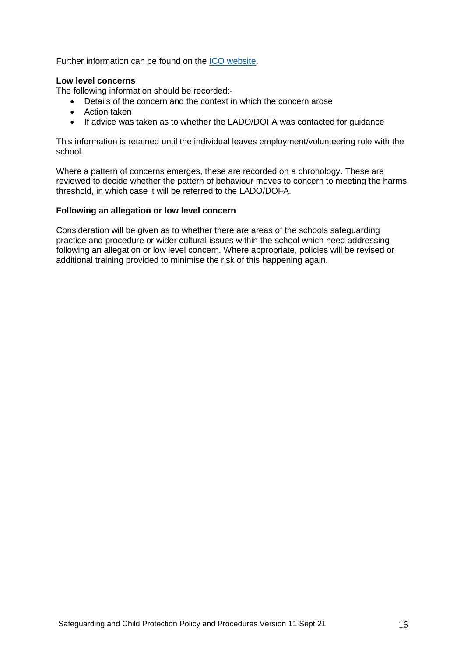Further information can be found on the **ICO** website.

#### **Low level concerns**

The following information should be recorded:-

- Details of the concern and the context in which the concern arose
- Action taken
- If advice was taken as to whether the LADO/DOFA was contacted for guidance

This information is retained until the individual leaves employment/volunteering role with the school.

Where a pattern of concerns emerges, these are recorded on a chronology. These are reviewed to decide whether the pattern of behaviour moves to concern to meeting the harms threshold, in which case it will be referred to the LADO/DOFA.

#### **Following an allegation or low level concern**

Consideration will be given as to whether there are areas of the schools safeguarding practice and procedure or wider cultural issues within the school which need addressing following an allegation or low level concern. Where appropriate, policies will be revised or additional training provided to minimise the risk of this happening again.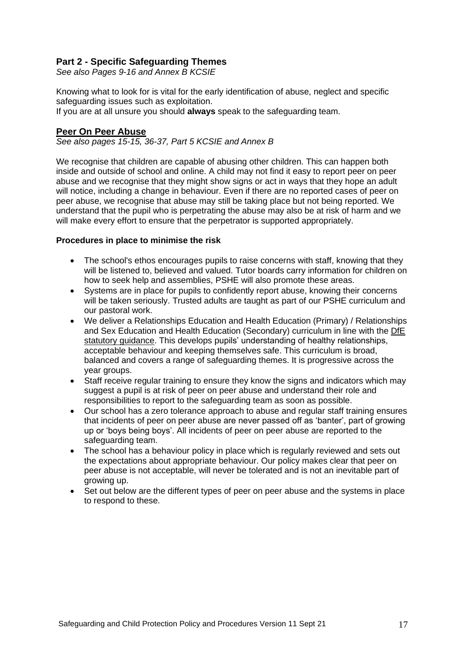## **Part 2 - Specific Safeguarding Themes**

*See also Pages 9-16 and Annex B KCSIE*

Knowing what to look for is vital for the early identification of abuse, neglect and specific safeguarding issues such as exploitation.

If you are at all unsure you should **always** speak to the safeguarding team.

## **Peer On Peer Abuse**

*See also pages 15-15, 36-37, Part 5 KCSIE and Annex B*

We recognise that children are capable of abusing other children. This can happen both inside and outside of school and online. A child may not find it easy to report peer on peer abuse and we recognise that they might show signs or act in ways that they hope an adult will notice, including a change in behaviour. Even if there are no reported cases of peer on peer abuse, we recognise that abuse may still be taking place but not being reported. We understand that the pupil who is perpetrating the abuse may also be at risk of harm and we will make every effort to ensure that the perpetrator is supported appropriately.

#### **Procedures in place to minimise the risk**

- The school's ethos encourages pupils to raise concerns with staff, knowing that they will be listened to, believed and valued. Tutor boards carry information for children on how to seek help and assemblies, PSHE will also promote these areas.
- Systems are in place for pupils to confidently report abuse, knowing their concerns will be taken seriously. Trusted adults are taught as part of our PSHE curriculum and our pastoral work.
- We deliver a Relationships Education and Health Education (Primary) / Relationships and Sex Education and Health Education (Secondary) curriculum in line with the [DfE](https://www.gov.uk/government/publications/relationships-education-relationships-and-sex-education-rse-and-health-education)  [statutory guidance.](https://www.gov.uk/government/publications/relationships-education-relationships-and-sex-education-rse-and-health-education) This develops pupils' understanding of healthy relationships, acceptable behaviour and keeping themselves safe. This curriculum is broad, balanced and covers a range of safeguarding themes. It is progressive across the year groups.
- Staff receive regular training to ensure they know the signs and indicators which may suggest a pupil is at risk of peer on peer abuse and understand their role and responsibilities to report to the safeguarding team as soon as possible.
- Our school has a zero tolerance approach to abuse and regular staff training ensures that incidents of peer on peer abuse are never passed off as 'banter', part of growing up or 'boys being boys'. All incidents of peer on peer abuse are reported to the safeguarding team.
- The school has a behaviour policy in place which is regularly reviewed and sets out the expectations about appropriate behaviour. Our policy makes clear that peer on peer abuse is not acceptable, will never be tolerated and is not an inevitable part of growing up.
- Set out below are the different types of peer on peer abuse and the systems in place to respond to these.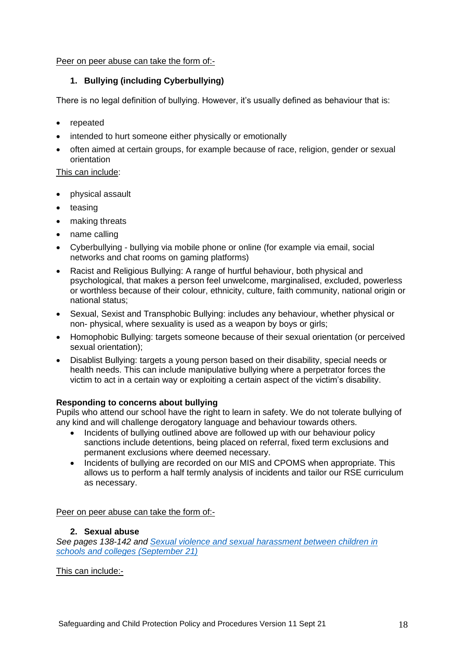Peer on peer abuse can take the form of:-

## **1. Bullying (including Cyberbullying)**

There is no legal definition of bullying. However, it's usually defined as behaviour that is:

- repeated
- intended to hurt someone either physically or emotionally
- often aimed at certain groups, for example because of race, religion, gender or sexual orientation

## This can include:

- physical assault
- teasing
- making threats
- name calling
- Cyberbullying bullying via mobile phone or online (for example via email, social networks and chat rooms on gaming platforms)
- Racist and Religious Bullying: A range of hurtful behaviour, both physical and psychological, that makes a person feel unwelcome, marginalised, excluded, powerless or worthless because of their colour, ethnicity, culture, faith community, national origin or national status;
- Sexual, Sexist and Transphobic Bullying: includes any behaviour, whether physical or non- physical, where sexuality is used as a weapon by boys or girls;
- Homophobic Bullying: targets someone because of their sexual orientation (or perceived sexual orientation);
- Disablist Bullying: targets a young person based on their disability, special needs or health needs. This can include manipulative bullying where a perpetrator forces the victim to act in a certain way or exploiting a certain aspect of the victim's disability.

## **Responding to concerns about bullying**

Pupils who attend our school have the right to learn in safety. We do not tolerate bullying of any kind and will challenge derogatory language and behaviour towards others.

- Incidents of bullying outlined above are followed up with our behaviour policy sanctions include detentions, being placed on referral, fixed term exclusions and permanent exclusions where deemed necessary.
- Incidents of bullying are recorded on our MIS and CPOMS when appropriate. This allows us to perform a half termly analysis of incidents and tailor our RSE curriculum as necessary.

Peer on peer abuse can take the form of:-

## **2. Sexual abuse**

*See pages 138-142 and [Sexual violence and sexual harassment between children in](https://assets.publishing.service.gov.uk/government/uploads/system/uploads/attachment_data/file/999239/SVSH_2021.pdf)  schools and [colleges \(September 21\)](https://assets.publishing.service.gov.uk/government/uploads/system/uploads/attachment_data/file/999239/SVSH_2021.pdf)*

This can include:-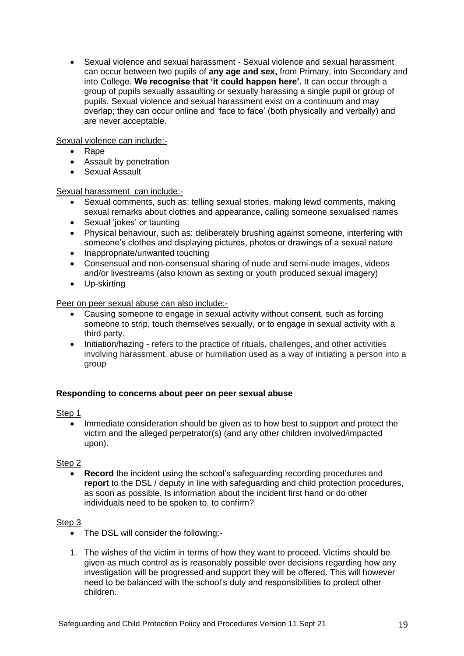• Sexual violence and sexual harassment - Sexual violence and sexual harassment can occur between two pupils of **any age and sex,** from Primary, into Secondary and into College. **We recognise that 'it could happen here'.** It can occur through a group of pupils sexually assaulting or sexually harassing a single pupil or group of pupils. Sexual violence and sexual harassment exist on a continuum and may overlap; they can occur online and 'face to face' (both physically and verbally) and are never acceptable.

Sexual violence can include:-

- Rape
- Assault by penetration
- Sexual Assault

Sexual harassment can include:-

- Sexual comments, such as: telling sexual stories, making lewd comments, making sexual remarks about clothes and appearance, calling someone sexualised names
- Sexual 'jokes' or taunting
- Physical behaviour, such as: deliberately brushing against someone, interfering with someone's clothes and displaying pictures, photos or drawings of a sexual nature
- Inappropriate/unwanted touching
- Consensual and non-consensual sharing of nude and semi-nude images, videos and/or livestreams (also known as sexting or youth produced sexual imagery)
- Up-skirting

Peer on peer sexual abuse can also include:-

- Causing someone to engage in sexual activity without consent, such as forcing someone to strip, touch themselves sexually, or to engage in sexual activity with a third party.
- Initiation/hazing refers to the practice of rituals, challenges, and other activities involving harassment, abuse or humiliation used as a way of initiating a person into a group

## **Responding to concerns about peer on peer sexual abuse**

Step 1

• Immediate consideration should be given as to how best to support and protect the victim and the alleged perpetrator(s) (and any other children involved/impacted upon).

Step 2

**Record** the incident using the school's safeguarding recording procedures and **report** to the DSL / deputy in line with safeguarding and child protection procedures, as soon as possible. Is information about the incident first hand or do other individuals need to be spoken to, to confirm?

## Step 3

- The DSL will consider the following:-
- 1. The wishes of the victim in terms of how they want to proceed. Victims should be given as much control as is reasonably possible over decisions regarding how any investigation will be progressed and support they will be offered. This will however need to be balanced with the school's duty and responsibilities to protect other children.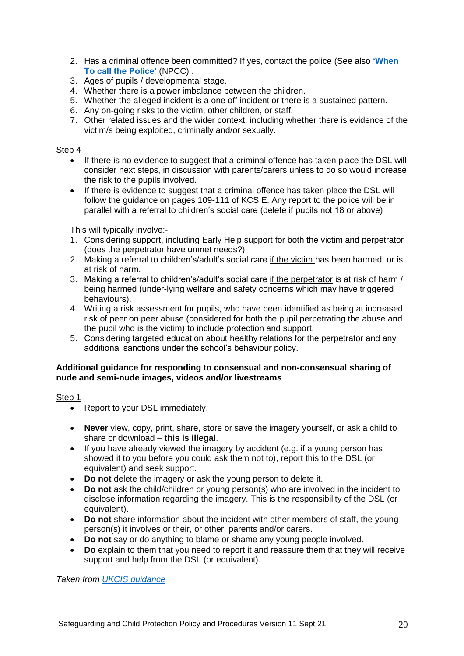- 2. Has a criminal offence been committed? If yes, contact the police (See also **['When](https://www.npcc.police.uk/documents/Children%20and%20Young%20people/When%20to%20call%20the%20police%20guidance%20for%20schools%20and%20colleges.pdf)  [To call the Police'](https://www.npcc.police.uk/documents/Children%20and%20Young%20people/When%20to%20call%20the%20police%20guidance%20for%20schools%20and%20colleges.pdf)** (NPCC) .
- 3. Ages of pupils / developmental stage.
- 4. Whether there is a power imbalance between the children.
- 5. Whether the alleged incident is a one off incident or there is a sustained pattern.
- 6. Any on-going risks to the victim, other children, or staff.
- 7. Other related issues and the wider context, including whether there is evidence of the victim/s being exploited, criminally and/or sexually.

## Step 4

- If there is no evidence to suggest that a criminal offence has taken place the DSL will consider next steps, in discussion with parents/carers unless to do so would increase the risk to the pupils involved.
- If there is evidence to suggest that a criminal offence has taken place the DSL will follow the guidance on pages 109-111 of KCSIE. Any report to the police will be in parallel with a referral to children's social care (delete if pupils not 18 or above)

This will typically involve:-

- 1. Considering support, including Early Help support for both the victim and perpetrator (does the perpetrator have unmet needs?)
- 2. Making a referral to children's/adult's social care if the victim has been harmed, or is at risk of harm.
- 3. Making a referral to children's/adult's social care if the perpetrator is at risk of harm / being harmed (under-lying welfare and safety concerns which may have triggered behaviours).
- 4. Writing a risk assessment for pupils, who have been identified as being at increased risk of peer on peer abuse (considered for both the pupil perpetrating the abuse and the pupil who is the victim) to include protection and support.
- 5. Considering targeted education about healthy relations for the perpetrator and any additional sanctions under the school's behaviour policy.

#### **Additional guidance for responding to consensual and non-consensual sharing of nude and semi-nude images, videos and/or livestreams**

## Step 1

- Report to your DSL immediately.
- **Never** view, copy, print, share, store or save the imagery yourself, or ask a child to share or download – **this is illegal**.
- If you have already viewed the imagery by accident (e.g. if a young person has showed it to you before you could ask them not to), report this to the DSL (or equivalent) and seek support.
- **Do not** delete the imagery or ask the young person to delete it.
- **Do not** ask the child/children or young person(s) who are involved in the incident to disclose information regarding the imagery. This is the responsibility of the DSL (or equivalent).
- **Do not** share information about the incident with other members of staff, the young person(s) it involves or their, or other, parents and/or carers.
- **Do not** say or do anything to blame or shame any young people involved.
- **Do** explain to them that you need to report it and reassure them that they will receive support and help from the DSL (or equivalent).

*Taken from [UKCIS guidance](https://www.gov.uk/government/publications/sharing-nudes-and-semi-nudes-advice-for-education-settings-working-with-children-and-young-people)*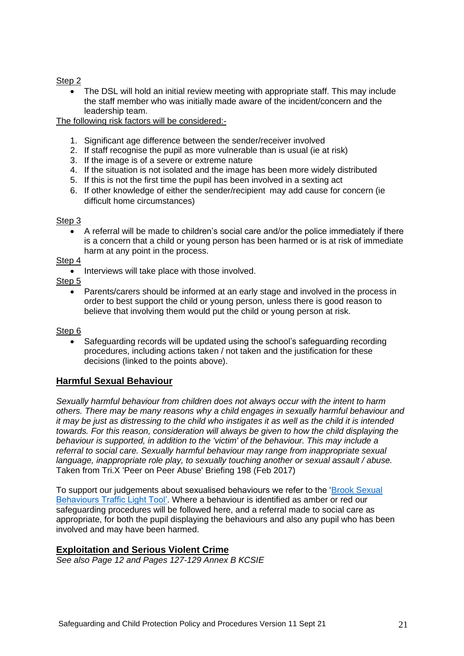## Step 2

• The DSL will hold an initial review meeting with appropriate staff. This may include the staff member who was initially made aware of the incident/concern and the leadership team.

The following risk factors will be considered:-

- 1. Significant age difference between the sender/receiver involved
- 2. If staff recognise the pupil as more vulnerable than is usual (ie at risk)
- 3. If the image is of a severe or extreme nature
- 4. If the situation is not isolated and the image has been more widely distributed
- 5. If this is not the first time the pupil has been involved in a sexting act
- 6. If other knowledge of either the sender/recipient may add cause for concern (ie difficult home circumstances)

## Step 3

• A referral will be made to children's social care and/or the police immediately if there is a concern that a child or young person has been harmed or is at risk of immediate harm at any point in the process.

## Step 4

- Interviews will take place with those involved.
- Step 5
	- Parents/carers should be informed at an early stage and involved in the process in order to best support the child or young person, unless there is good reason to believe that involving them would put the child or young person at risk.

## Step 6

• Safeguarding records will be updated using the school's safeguarding recording procedures, including actions taken / not taken and the justification for these decisions (linked to the points above).

## **Harmful Sexual Behaviour**

*Sexually harmful behaviour from children does not always occur with the intent to harm others. There may be many reasons why a child engages in sexually harmful behaviour and it may be just as distressing to the child who instigates it as well as the child it is intended towards. For this reason, consideration will always be given to how the child displaying the behaviour is supported, in addition to the 'victim' of the behaviour. This may include a referral to social care. Sexually harmful behaviour may range from inappropriate sexual language, inappropriate role play, to sexually touching another or sexual assault / abuse.*  Taken from Tri.X 'Peer on Peer Abuse' Briefing 198 (Feb 2017)

To support our judgements about sexualised behaviours we refer to the 'Brook Sexual [Behaviours Traffic Light Tool'.](https://www.brook.org.uk/training/wider-professional-training/sexual-behaviours-traffic-light-tool/) Where a behaviour is identified as amber or red our safeguarding procedures will be followed here, and a referral made to social care as appropriate, for both the pupil displaying the behaviours and also any pupil who has been involved and may have been harmed.

## **Exploitation and Serious Violent Crime**

*See also Page 12 and Pages 127-129 Annex B KCSIE*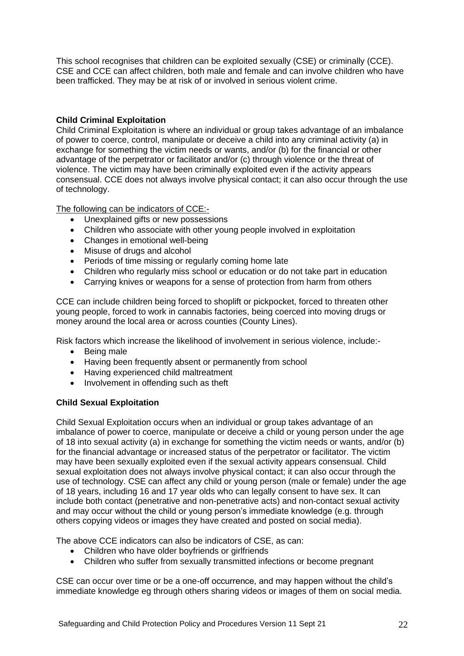This school recognises that children can be exploited sexually (CSE) or criminally (CCE). CSE and CCE can affect children, both male and female and can involve children who have been trafficked. They may be at risk of or involved in serious violent crime.

## **Child Criminal Exploitation**

Child Criminal Exploitation is where an individual or group takes advantage of an imbalance of power to coerce, control, manipulate or deceive a child into any criminal activity (a) in exchange for something the victim needs or wants, and/or (b) for the financial or other advantage of the perpetrator or facilitator and/or (c) through violence or the threat of violence. The victim may have been criminally exploited even if the activity appears consensual. CCE does not always involve physical contact; it can also occur through the use of technology.

The following can be indicators of CCE:-

- Unexplained gifts or new possessions
- Children who associate with other young people involved in exploitation
- Changes in emotional well-being
- Misuse of drugs and alcohol
- Periods of time missing or regularly coming home late
- Children who regularly miss school or education or do not take part in education
- Carrying knives or weapons for a sense of protection from harm from others

CCE can include children being forced to shoplift or pickpocket, forced to threaten other young people, forced to work in cannabis factories, being coerced into moving drugs or money around the local area or across counties (County Lines).

Risk factors which increase the likelihood of involvement in serious violence, include:-

- Being male
- Having been frequently absent or permanently from school
- Having experienced child maltreatment
- Involvement in offending such as theft

## **Child Sexual Exploitation**

Child Sexual Exploitation occurs when an individual or group takes advantage of an imbalance of power to coerce, manipulate or deceive a child or young person under the age of 18 into sexual activity (a) in exchange for something the victim needs or wants, and/or (b) for the financial advantage or increased status of the perpetrator or facilitator. The victim may have been sexually exploited even if the sexual activity appears consensual. Child sexual exploitation does not always involve physical contact; it can also occur through the use of technology. CSE can affect any child or young person (male or female) under the age of 18 years, including 16 and 17 year olds who can legally consent to have sex. It can include both contact (penetrative and non-penetrative acts) and non-contact sexual activity and may occur without the child or young person's immediate knowledge (e.g. through others copying videos or images they have created and posted on social media).

The above CCE indicators can also be indicators of CSE, as can:

- Children who have older boyfriends or girlfriends
- Children who suffer from sexually transmitted infections or become pregnant

CSE can occur over time or be a one-off occurrence, and may happen without the child's immediate knowledge eg through others sharing videos or images of them on social media.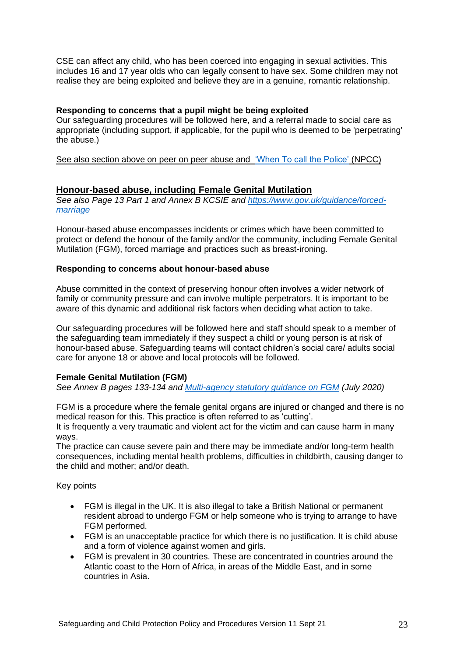CSE can affect any child, who has been coerced into engaging in sexual activities. This includes 16 and 17 year olds who can legally consent to have sex. Some children may not realise they are being exploited and believe they are in a genuine, romantic relationship.

## **Responding to concerns that a pupil might be being exploited**

Our safeguarding procedures will be followed here, and a referral made to social care as appropriate (including support, if applicable, for the pupil who is deemed to be 'perpetrating' the abuse.)

See also section above on peer on peer abuse and ['When To call the Police'](https://www.npcc.police.uk/documents/Children%20and%20Young%20people/When%20to%20call%20the%20police%20guidance%20for%20schools%20and%20colleges.pdf) (NPCC)

## **Honour-based abuse, including Female Genital Mutilation**

*See also Page 13 Part 1 and Annex B KCSIE and [https://www.gov.uk/guidance/forced](https://www.gov.uk/guidance/forced-marriage)[marriage](https://www.gov.uk/guidance/forced-marriage)*

Honour-based abuse encompasses incidents or crimes which have been committed to protect or defend the honour of the family and/or the community, including Female Genital Mutilation (FGM), forced marriage and practices such as breast-ironing.

## **Responding to concerns about honour-based abuse**

Abuse committed in the context of preserving honour often involves a wider network of family or community pressure and can involve multiple perpetrators. It is important to be aware of this dynamic and additional risk factors when deciding what action to take.

Our safeguarding procedures will be followed here and staff should speak to a member of the safeguarding team immediately if they suspect a child or young person is at risk of honour-based abuse. Safeguarding teams will contact children's social care/ adults social care for anyone 18 or above and local protocols will be followed.

## **Female Genital Mutilation (FGM)**

*See Annex B pages 133-134 and [Multi-agency statutory guidance on FGM](https://www.gov.uk/government/publications/multi-agency-statutory-guidance-on-female-genital-mutilation) (July 2020)*

FGM is a procedure where the female genital organs are injured or changed and there is no medical reason for this. This practice is often referred to as 'cutting'.

It is frequently a very traumatic and violent act for the victim and can cause harm in many ways.

The practice can cause severe pain and there may be immediate and/or long-term health consequences, including mental health problems, difficulties in childbirth, causing danger to the child and mother; and/or death.

#### Key points

- FGM is illegal in the UK. It is also illegal to take a British National or permanent resident abroad to undergo FGM or help someone who is trying to arrange to have FGM performed.
- FGM is an unacceptable practice for which there is no justification. It is child abuse and a form of violence against women and girls.
- FGM is prevalent in 30 countries. These are concentrated in countries around the Atlantic coast to the Horn of Africa, in areas of the Middle East, and in some countries in Asia.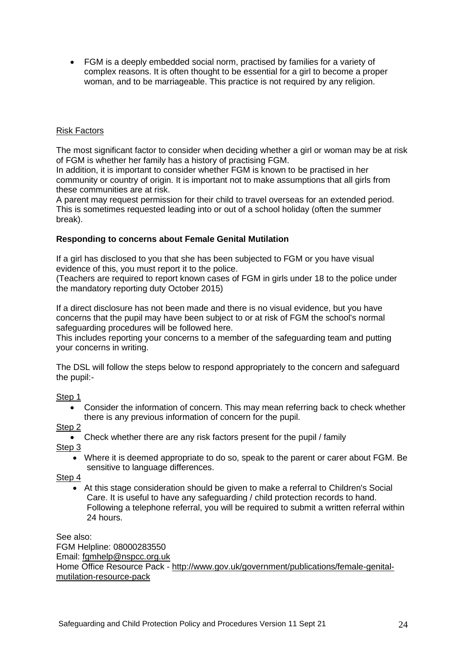• FGM is a deeply embedded social norm, practised by families for a variety of complex reasons. It is often thought to be essential for a girl to become a proper woman, and to be marriageable. This practice is not required by any religion.

## Risk Factors

The most significant factor to consider when deciding whether a girl or woman may be at risk of FGM is whether her family has a history of practising FGM.

In addition, it is important to consider whether FGM is known to be practised in her community or country of origin. It is important not to make assumptions that all girls from these communities are at risk.

A parent may request permission for their child to travel overseas for an extended period. This is sometimes requested leading into or out of a school holiday (often the summer break).

## **Responding to concerns about Female Genital Mutilation**

If a girl has disclosed to you that she has been subjected to FGM or you have visual evidence of this, you must report it to the police.

(Teachers are required to report known cases of FGM in girls under 18 to the police under the mandatory reporting duty October 2015)

If a direct disclosure has not been made and there is no visual evidence, but you have concerns that the pupil may have been subject to or at risk of FGM the school's normal safeguarding procedures will be followed here.

This includes reporting your concerns to a member of the safeguarding team and putting your concerns in writing.

The DSL will follow the steps below to respond appropriately to the concern and safeguard the pupil:-

## Step 1

• Consider the information of concern. This may mean referring back to check whether there is any previous information of concern for the pupil.

## Step<sub>2</sub>

• Check whether there are any risk factors present for the pupil / family

Step 3

• Where it is deemed appropriate to do so, speak to the parent or carer about FGM. Be sensitive to language differences.

Step 4

• At this stage consideration should be given to make a referral to Children's Social Care. It is useful to have any safeguarding / child protection records to hand. Following a telephone referral, you will be required to submit a written referral within 24 hours.

See also:

FGM Helpline: 08000283550 Email: [fgmhelp@nspcc.org.uk](mailto:fgmhelp@nspcc.org.uk) Home Office Resource Pack - [http://www.gov.uk/government/publications/female-genital](http://www.gov.uk/government/publications/female-genital-mutilation-resource-pack)[mutilation-resource-pack](http://www.gov.uk/government/publications/female-genital-mutilation-resource-pack)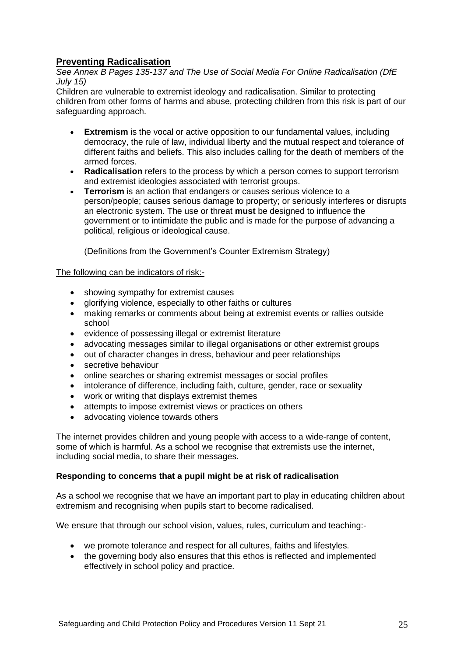## **Preventing Radicalisation**

*See Annex B Pages 135-137 and [The Use of Social Media For Online Radicalisation \(DfE](https://www.gov.uk/government/publications/the-use-of-social-media-for-online-radicalisation)  [July 15\)](https://www.gov.uk/government/publications/the-use-of-social-media-for-online-radicalisation)*

Children are vulnerable to extremist ideology and radicalisation. Similar to protecting children from other forms of harms and abuse, protecting children from this risk is part of our safeguarding approach.

- **Extremism** is the vocal or active opposition to our fundamental values, including democracy, the rule of law, individual liberty and the mutual respect and tolerance of different faiths and beliefs. This also includes calling for the death of members of the armed forces.
- **Radicalisation** refers to the process by which a person comes to support terrorism and extremist ideologies associated with terrorist groups.
- **Terrorism** is an action that endangers or causes serious violence to a person/people; causes serious damage to property; or seriously interferes or disrupts an electronic system. The use or threat **must** be designed to influence the government or to intimidate the public and is made for the purpose of advancing a political, religious or ideological cause.

(Definitions from the Government's Counter Extremism Strategy)

#### The following can be indicators of risk:-

- showing sympathy for extremist causes
- glorifying violence, especially to other faiths or cultures
- making remarks or comments about being at extremist events or rallies outside school
- evidence of possessing illegal or extremist literature
- advocating messages similar to illegal organisations or other extremist groups
- out of character changes in dress, behaviour and peer relationships
- secretive behaviour
- online searches or sharing extremist messages or social profiles
- intolerance of difference, including faith, culture, gender, race or sexuality
- work or writing that displays extremist themes
- attempts to impose extremist views or practices on others
- advocating violence towards others

The internet provides children and young people with access to a wide-range of content, some of which is harmful. As a school we recognise that extremists use the internet, including social media, to share their messages.

#### **Responding to concerns that a pupil might be at risk of radicalisation**

As a school we recognise that we have an important part to play in educating children about extremism and recognising when pupils start to become radicalised.

We ensure that through our school vision, values, rules, curriculum and teaching:-

- we promote tolerance and respect for all cultures, faiths and lifestyles.
- the governing body also ensures that this ethos is reflected and implemented effectively in school policy and practice.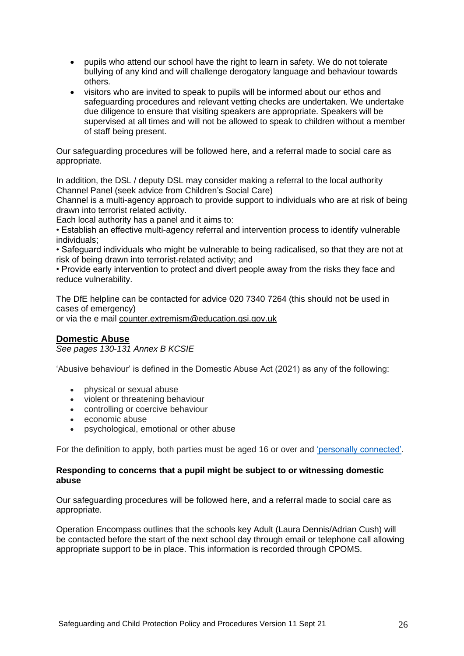- pupils who attend our school have the right to learn in safety. We do not tolerate bullying of any kind and will challenge derogatory language and behaviour towards others.
- visitors who are invited to speak to pupils will be informed about our ethos and safeguarding procedures and relevant vetting checks are undertaken. We undertake due diligence to ensure that visiting speakers are appropriate. Speakers will be supervised at all times and will not be allowed to speak to children without a member of staff being present.

Our safeguarding procedures will be followed here, and a referral made to social care as appropriate.

In addition, the DSL / deputy DSL may consider making a referral to the local authority Channel Panel (seek advice from Children's Social Care)

Channel is a multi-agency approach to provide support to individuals who are at risk of being drawn into terrorist related activity.

Each local authority has a panel and it aims to:

• Establish an effective multi-agency referral and intervention process to identify vulnerable individuals;

• Safeguard individuals who might be vulnerable to being radicalised, so that they are not at risk of being drawn into terrorist-related activity; and

• Provide early intervention to protect and divert people away from the risks they face and reduce vulnerability.

The DfE helpline can be contacted for advice 020 7340 7264 (this should not be used in cases of emergency)

or via the e mail [counter.extremism@education.gsi.gov.uk](mailto:counter.extremism@education.gsi.gov.uk)

## **Domestic Abuse**

*See pages 130-131 Annex B KCSIE*

'Abusive behaviour' is defined in the Domestic Abuse Act (2021) as any of the following:

- physical or sexual abuse
- violent or threatening behaviour
- controlling or coercive behaviour
- economic abuse
- psychological, emotional or other abuse

For the definition to apply, both parties must be aged 16 or over and ['personally connected'.](https://www.lawsociety.org.uk/topics/family-and-children/domestic-abuse-act-2021#definition-of-abuse)

#### **Responding to concerns that a pupil might be subject to or witnessing domestic abuse**

Our safeguarding procedures will be followed here, and a referral made to social care as appropriate.

Operation Encompass outlines that the schools key Adult (Laura Dennis/Adrian Cush) will be contacted before the start of the next school day through email or telephone call allowing appropriate support to be in place. This information is recorded through CPOMS.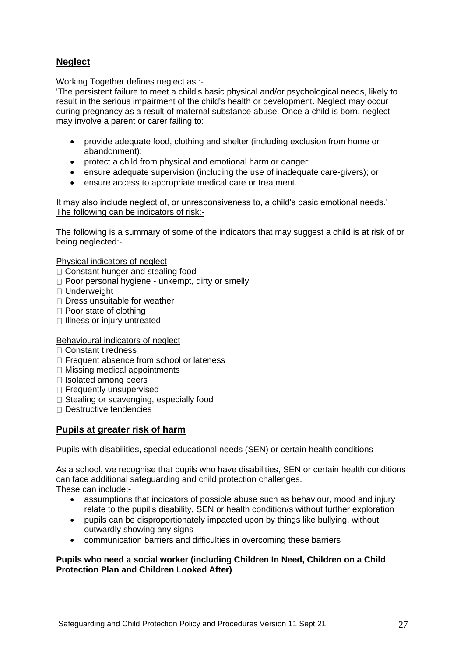## **Neglect**

Working Together defines neglect as :-

'The persistent failure to meet a child's basic physical and/or psychological needs, likely to result in the serious impairment of the child's health or development. Neglect may occur during pregnancy as a result of maternal substance abuse. Once a child is born, neglect may involve a parent or carer failing to:

- provide adequate food, clothing and shelter (including exclusion from home or abandonment);
- protect a child from physical and emotional harm or danger;
- ensure adequate supervision (including the use of inadequate care-givers); or
- ensure access to appropriate medical care or treatment.

It may also include neglect of, or unresponsiveness to, a child's basic emotional needs.' The following can be indicators of risk:-

The following is a summary of some of the indicators that may suggest a child is at risk of or being neglected:-

Physical indicators of neglect

- □ Constant hunger and stealing food
- $\Box$  Poor personal hygiene unkempt, dirty or smelly
- Underweight
- $\Box$  Dress unsuitable for weather
- $\Box$  Poor state of clothing
- □ Illness or injury untreated

## Behavioural indicators of neglect

- □ Constant tiredness
- □ Frequent absence from school or lateness
- $\Box$  Missing medical appointments
- $\Box$  Isolated among peers
- □ Frequently unsupervised
- □ Stealing or scavenging, especially food
- Destructive tendencies

## **Pupils at greater risk of harm**

## Pupils with disabilities, special educational needs (SEN) or certain health conditions

As a school, we recognise that pupils who have disabilities, SEN or certain health conditions can face additional safeguarding and child protection challenges. These can include:-

- assumptions that indicators of possible abuse such as behaviour, mood and injury relate to the pupil's disability, SEN or health condition/s without further exploration
- pupils can be disproportionately impacted upon by things like bullying, without outwardly showing any signs
- communication barriers and difficulties in overcoming these barriers

## **Pupils who need a social worker (including Children In Need, Children on a Child Protection Plan and Children Looked After)**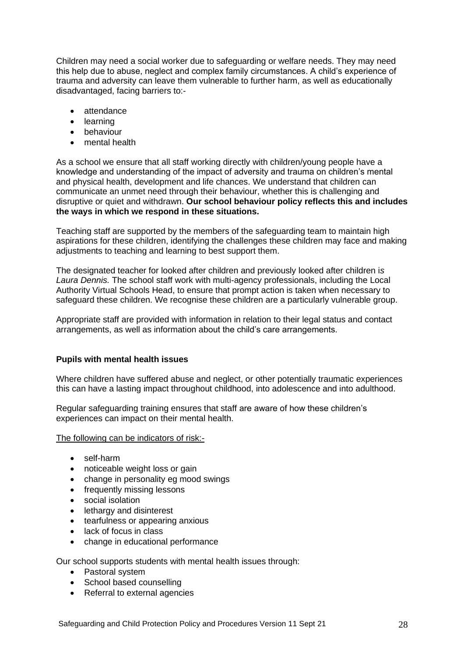Children may need a social worker due to safeguarding or welfare needs. They may need this help due to abuse, neglect and complex family circumstances. A child's experience of trauma and adversity can leave them vulnerable to further harm, as well as educationally disadvantaged, facing barriers to:-

- attendance
- learning
- behaviour
- mental health

As a school we ensure that all staff working directly with children/young people have a knowledge and understanding of the impact of adversity and trauma on children's mental and physical health, development and life chances. We understand that children can communicate an unmet need through their behaviour, whether this is challenging and disruptive or quiet and withdrawn. **Our school behaviour policy reflects this and includes the ways in which we respond in these situations.**

Teaching staff are supported by the members of the safeguarding team to maintain high aspirations for these children, identifying the challenges these children may face and making adjustments to teaching and learning to best support them.

The designated teacher for looked after children and previously looked after children i*s Laura Dennis.* The school staff work with multi-agency professionals, including the Local Authority Virtual Schools Head, to ensure that prompt action is taken when necessary to safeguard these children. We recognise these children are a particularly vulnerable group.

Appropriate staff are provided with information in relation to their legal status and contact arrangements, as well as information about the child's care arrangements.

## **Pupils with mental health issues**

Where children have suffered abuse and neglect, or other potentially traumatic experiences this can have a lasting impact throughout childhood, into adolescence and into adulthood.

Regular safeguarding training ensures that staff are aware of how these children's experiences can impact on their mental health.

The following can be indicators of risk:-

- self-harm
- noticeable weight loss or gain
- change in personality eg mood swings
- frequently missing lessons
- social isolation
- lethargy and disinterest
- tearfulness or appearing anxious
- lack of focus in class
- change in educational performance

Our school supports students with mental health issues through:

- Pastoral system
- School based counselling
- Referral to external agencies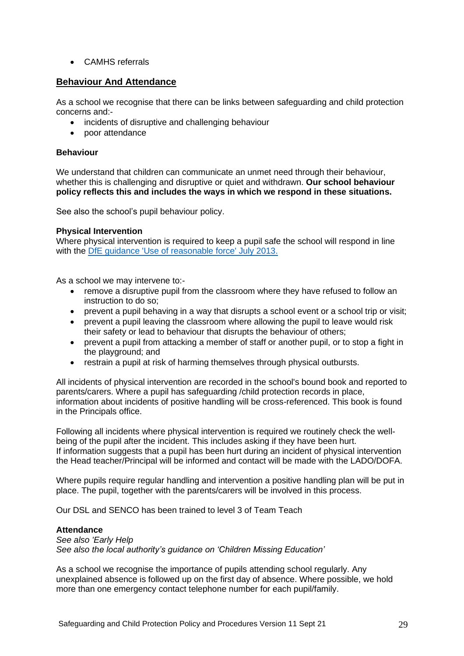• CAMHS referrals

## **Behaviour And Attendance**

As a school we recognise that there can be links between safeguarding and child protection concerns and:-

- incidents of disruptive and challenging behaviour
- poor attendance

### **Behaviour**

We understand that children can communicate an unmet need through their behaviour, whether this is challenging and disruptive or quiet and withdrawn. **Our school behaviour policy reflects this and includes the ways in which we respond in these situations.**

See also the school's pupil behaviour policy.

#### **Physical Intervention**

Where physical intervention is required to keep a pupil safe the school will respond in line with the [DfE guidance 'Use of reasonable force' July 2013.](https://www.gov.uk/government/publications/use-of-reasonable-force-in-schools)

As a school we may intervene to:-

- remove a disruptive pupil from the classroom where they have refused to follow an instruction to do so;
- prevent a pupil behaving in a way that disrupts a school event or a school trip or visit;
- prevent a pupil leaving the classroom where allowing the pupil to leave would risk their safety or lead to behaviour that disrupts the behaviour of others;
- prevent a pupil from attacking a member of staff or another pupil, or to stop a fight in the playground; and
- restrain a pupil at risk of harming themselves through physical outbursts.

All incidents of physical intervention are recorded in the school's bound book and reported to parents/carers. Where a pupil has safeguarding /child protection records in place, information about incidents of positive handling will be cross-referenced. This book is found in the Principals office.

Following all incidents where physical intervention is required we routinely check the wellbeing of the pupil after the incident. This includes asking if they have been hurt. If information suggests that a pupil has been hurt during an incident of physical intervention the Head teacher/Principal will be informed and contact will be made with the LADO/DOFA.

Where pupils require regular handling and intervention a positive handling plan will be put in place. The pupil, together with the parents/carers will be involved in this process.

Our DSL and SENCO has been trained to level 3 of Team Teach

### **Attendance**

*See also 'Early Help See also the local authority's guidance on 'Children Missing Education'*

As a school we recognise the importance of pupils attending school regularly. Any unexplained absence is followed up on the first day of absence. Where possible, we hold more than one emergency contact telephone number for each pupil/family.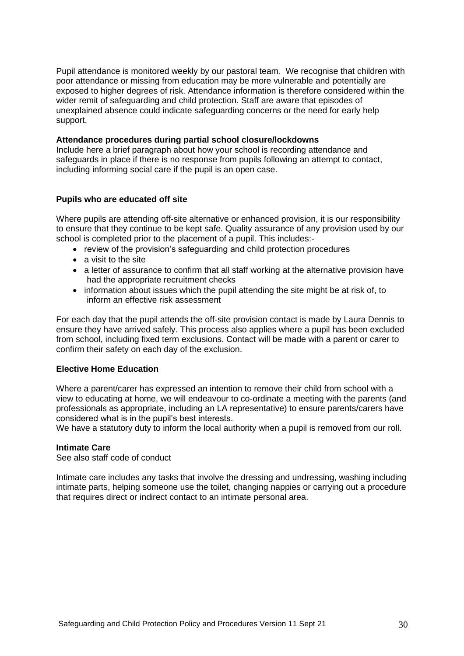Pupil attendance is monitored weekly by our pastoral team*.* We recognise that children with poor attendance or missing from education may be more vulnerable and potentially are exposed to higher degrees of risk. Attendance information is therefore considered within the wider remit of safeguarding and child protection. Staff are aware that episodes of unexplained absence could indicate safeguarding concerns or the need for early help support.

#### **Attendance procedures during partial school closure/lockdowns**

Include here a brief paragraph about how your school is recording attendance and safeguards in place if there is no response from pupils following an attempt to contact, including informing social care if the pupil is an open case.

#### **Pupils who are educated off site**

Where pupils are attending off-site alternative or enhanced provision, it is our responsibility to ensure that they continue to be kept safe. Quality assurance of any provision used by our school is completed prior to the placement of a pupil. This includes:-

- review of the provision's safeguarding and child protection procedures
- a visit to the site
- a letter of assurance to confirm that all staff working at the alternative provision have had the appropriate recruitment checks
- information about issues which the pupil attending the site might be at risk of, to inform an effective risk assessment

For each day that the pupil attends the off-site provision contact is made by Laura Dennis to ensure they have arrived safely. This process also applies where a pupil has been excluded from school, including fixed term exclusions. Contact will be made with a parent or carer to confirm their safety on each day of the exclusion.

#### **Elective Home Education**

Where a parent/carer has expressed an intention to remove their child from school with a view to educating at home, we will endeavour to co-ordinate a meeting with the parents (and professionals as appropriate, including an LA representative) to ensure parents/carers have considered what is in the pupil's best interests.

We have a statutory duty to inform the local authority when a pupil is removed from our roll.

#### **Intimate Care**

See also staff code of conduct

Intimate care includes any tasks that involve the dressing and undressing, washing including intimate parts, helping someone use the toilet, changing nappies or carrying out a procedure that requires direct or indirect contact to an intimate personal area.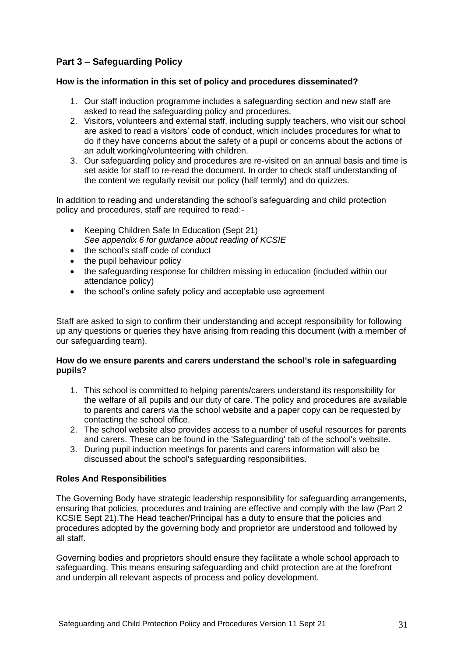## **Part 3 – Safeguarding Policy**

## **How is the information in this set of policy and procedures disseminated?**

- 1. Our staff induction programme includes a safeguarding section and new staff are asked to read the safeguarding policy and procedures.
- 2. Visitors, volunteers and external staff, including supply teachers, who visit our school are asked to read a visitors' code of conduct, which includes procedures for what to do if they have concerns about the safety of a pupil or concerns about the actions of an adult working/volunteering with children.
- 3. Our safeguarding policy and procedures are re-visited on an annual basis and time is set aside for staff to re-read the document. In order to check staff understanding of the content we regularly revisit our policy (half termly) and do quizzes.

In addition to reading and understanding the school's safeguarding and child protection policy and procedures, staff are required to read:-

- Keeping Children Safe In Education (Sept 21) *See appendix 6 for guidance about reading of KCSIE*
- the school's staff code of conduct
- the pupil behaviour policy
- the safeguarding response for children missing in education (included within our attendance policy)
- the school's online safety policy and acceptable use agreement

Staff are asked to sign to confirm their understanding and accept responsibility for following up any questions or queries they have arising from reading this document (with a member of our safeguarding team).

#### **How do we ensure parents and carers understand the school's role in safeguarding pupils?**

- 1. This school is committed to helping parents/carers understand its responsibility for the welfare of all pupils and our duty of care. The policy and procedures are available to parents and carers via the school website and a paper copy can be requested by contacting the school office.
- 2. The school website also provides access to a number of useful resources for parents and carers. These can be found in the 'Safeguarding' tab of the school's website.
- 3. During pupil induction meetings for parents and carers information will also be discussed about the school's safeguarding responsibilities.

## **Roles And Responsibilities**

The Governing Body have strategic leadership responsibility for safeguarding arrangements, ensuring that policies, procedures and training are effective and comply with the law (Part 2 KCSIE Sept 21).The Head teacher/Principal has a duty to ensure that the policies and procedures adopted by the governing body and proprietor are understood and followed by all staff.

Governing bodies and proprietors should ensure they facilitate a whole school approach to safeguarding. This means ensuring safeguarding and child protection are at the forefront and underpin all relevant aspects of process and policy development.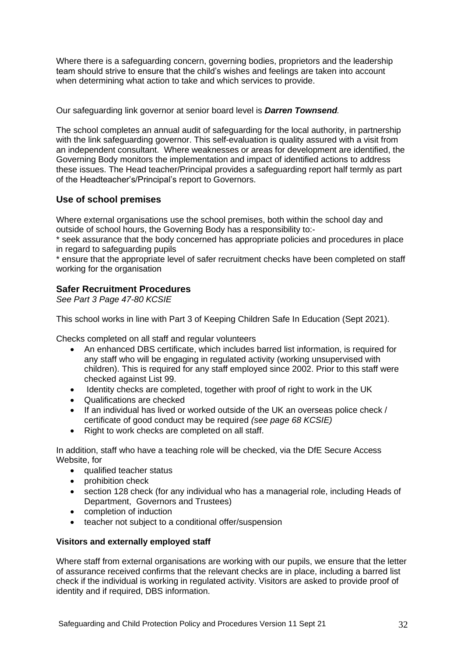Where there is a safeguarding concern, governing bodies, proprietors and the leadership team should strive to ensure that the child's wishes and feelings are taken into account when determining what action to take and which services to provide.

Our safeguarding link governor at senior board level is *Darren Townsend.*

The school completes an annual audit of safeguarding for the local authority, in partnership with the link safeguarding governor. This self-evaluation is quality assured with a visit from an independent consultant. Where weaknesses or areas for development are identified, the Governing Body monitors the implementation and impact of identified actions to address these issues. The Head teacher/Principal provides a safeguarding report half termly as part of the Headteacher's/Principal's report to Governors.

## **Use of school premises**

Where external organisations use the school premises, both within the school day and outside of school hours, the Governing Body has a responsibility to:-

\* seek assurance that the body concerned has appropriate policies and procedures in place in regard to safeguarding pupils

\* ensure that the appropriate level of safer recruitment checks have been completed on staff working for the organisation

## **Safer Recruitment Procedures**

*See Part 3 Page 47-80 KCSIE* 

This school works in line with Part 3 of Keeping Children Safe In Education (Sept 2021).

Checks completed on all staff and regular volunteers

- An enhanced DBS certificate, which includes barred list information, is required for any staff who will be engaging in regulated activity (working unsupervised with children). This is required for any staff employed since 2002. Prior to this staff were checked against List 99.
- Identity checks are completed, together with proof of right to work in the UK
- Qualifications are checked
- If an individual has lived or worked outside of the UK an overseas police check / certificate of good conduct may be required *(see page 68 KCSIE)*
- Right to work checks are completed on all staff.

In addition, staff who have a teaching role will be checked, via the DfE Secure Access Website, for

- qualified teacher status
- prohibition check
- section 128 check (for any individual who has a managerial role, including Heads of Department, Governors and Trustees)
- completion of induction
- teacher not subject to a conditional offer/suspension

## **Visitors and externally employed staff**

Where staff from external organisations are working with our pupils, we ensure that the letter of assurance received confirms that the relevant checks are in place, including a barred list check if the individual is working in regulated activity. Visitors are asked to provide proof of identity and if required, DBS information.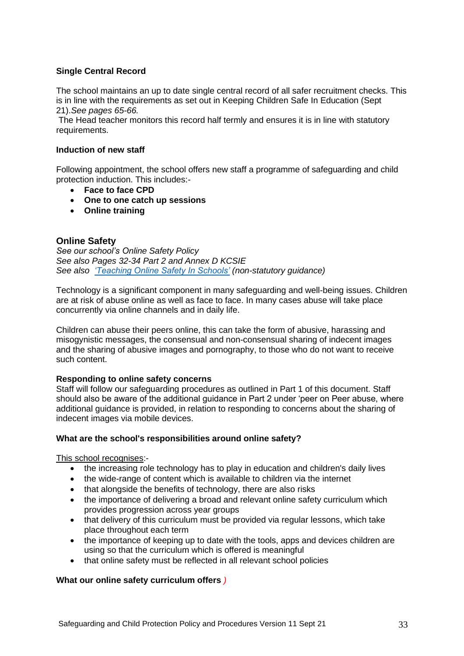## **Single Central Record**

The school maintains an up to date single central record of all safer recruitment checks. This is in line with the requirements as set out in Keeping Children Safe In Education (Sept 21).*See pages 65-66.*

The Head teacher monitors this record half termly and ensures it is in line with statutory requirements.

#### **Induction of new staff**

Following appointment, the school offers new staff a programme of safeguarding and child protection induction. This includes:-

- **Face to face CPD**
- **One to one catch up sessions**
- **Online training**

## **Online Safety**

*See our school's Online Safety Policy See also Pages 32-34 Part 2 and Annex D KCSIE See also ['Teaching Online Safety In Schools'](https://www.gov.uk/government/publications/teaching-online-safety-in-schools) (non-statutory guidance)*

Technology is a significant component in many safeguarding and well-being issues. Children are at risk of abuse online as well as face to face. In many cases abuse will take place concurrently via online channels and in daily life.

Children can abuse their peers online, this can take the form of abusive, harassing and misogynistic messages, the consensual and non-consensual sharing of indecent images and the sharing of abusive images and pornography, to those who do not want to receive such content.

#### **Responding to online safety concerns**

Staff will follow our safeguarding procedures as outlined in Part 1 of this document. Staff should also be aware of the additional guidance in Part 2 under 'peer on Peer abuse, where additional guidance is provided, in relation to responding to concerns about the sharing of indecent images via mobile devices.

#### **What are the school's responsibilities around online safety?**

This school recognises:-

- the increasing role technology has to play in education and children's daily lives
- the wide-range of content which is available to children via the internet
- that alongside the benefits of technology, there are also risks
- the importance of delivering a broad and relevant online safety curriculum which provides progression across year groups
- that delivery of this curriculum must be provided via regular lessons, which take place throughout each term
- the importance of keeping up to date with the tools, apps and devices children are using so that the curriculum which is offered is meaningful
- that online safety must be reflected in all relevant school policies

#### **What our online safety curriculum offers** *)*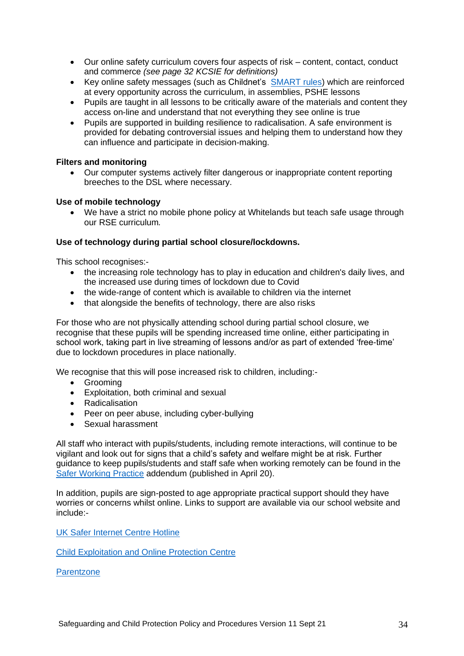- Our online safety curriculum covers four aspects of risk content, contact, conduct and commerce *(see page 32 KCSIE for definitions)*
- Key online safety messages (such as Childnet's [SMART rules\)](https://www.childnet.com/resources/be-smart-online) which are reinforced at every opportunity across the curriculum, in assemblies, PSHE lessons
- Pupils are taught in all lessons to be critically aware of the materials and content they access on-line and understand that not everything they see online is true
- Pupils are supported in building resilience to radicalisation. A safe environment is provided for debating controversial issues and helping them to understand how they can influence and participate in decision-making.

### **Filters and monitoring**

• Our computer systems actively filter dangerous or inappropriate content reporting breeches to the DSL where necessary.

#### **Use of mobile technology**

• We have a strict no mobile phone policy at Whitelands but teach safe usage through our RSE curriculum*.*

## **Use of technology during partial school closure/lockdowns.**

This school recognises:-

- the increasing role technology has to play in education and children's daily lives, and the increased use during times of lockdown due to Covid
- the wide-range of content which is available to children via the internet
- that alongside the benefits of technology, there are also risks

For those who are not physically attending school during partial school closure, we recognise that these pupils will be spending increased time online, either participating in school work, taking part in live streaming of lessons and/or as part of extended 'free-time' due to lockdown procedures in place nationally.

We recognise that this will pose increased risk to children, including:-

- Grooming
- Exploitation, both criminal and sexual
- Radicalisation
- Peer on peer abuse, including cyber-bullying
- Sexual harassment

All staff who interact with pupils/students, including remote interactions, will continue to be vigilant and look out for signs that a child's safety and welfare might be at risk. Further guidance to keep pupils/students and staff safe when working remotely can be found in the [Safer Working Practice](https://www.saferrecruitmentconsortium.org/GSWP%20COVID%20addendum%20April%202020%20final-1.pdf) addendum (published in April 20).

In addition, pupils are sign-posted to age appropriate practical support should they have worries or concerns whilst online. Links to support are available via our school website and include:-

[UK Safer Internet Centre Hotline](https://www.saferinternet.org.uk/hotline)

[Child Exploitation and Online Protection Centre](https://www.ceop.police.uk/safety-centre/)

**[Parentzone](https://parentzone.org.uk/home)**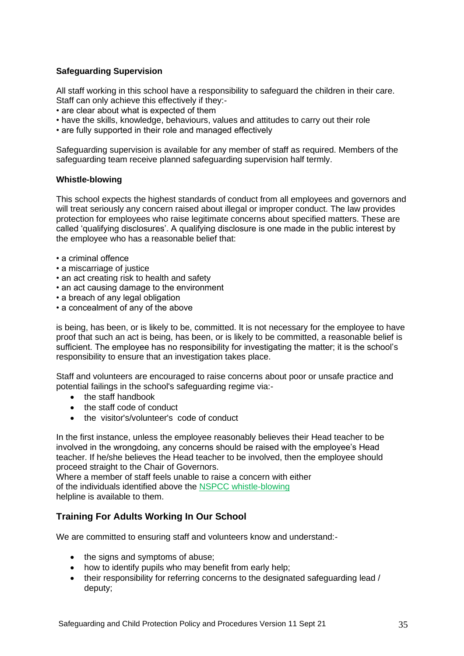## **Safeguarding Supervision**

All staff working in this school have a responsibility to safeguard the children in their care. Staff can only achieve this effectively if they:-

- are clear about what is expected of them
- have the skills, knowledge, behaviours, values and attitudes to carry out their role
- are fully supported in their role and managed effectively

Safeguarding supervision is available for any member of staff as required. Members of the safeguarding team receive planned safeguarding supervision half termly.

#### **Whistle-blowing**

This school expects the highest standards of conduct from all employees and governors and will treat seriously any concern raised about illegal or improper conduct. The law provides protection for employees who raise legitimate concerns about specified matters. These are called 'qualifying disclosures'. A qualifying disclosure is one made in the public interest by the employee who has a reasonable belief that:

- a criminal offence
- a miscarriage of justice
- an act creating risk to health and safety
- an act causing damage to the environment
- a breach of any legal obligation
- a concealment of any of the above

is being, has been, or is likely to be, committed. It is not necessary for the employee to have proof that such an act is being, has been, or is likely to be committed, a reasonable belief is sufficient. The employee has no responsibility for investigating the matter; it is the school's responsibility to ensure that an investigation takes place.

Staff and volunteers are encouraged to raise concerns about poor or unsafe practice and potential failings in the school's safeguarding regime via:-

- the staff handbook
- the staff code of conduct
- the visitor's/volunteer's code of conduct

In the first instance, unless the employee reasonably believes their Head teacher to be involved in the wrongdoing, any concerns should be raised with the employee's Head teacher. If he/she believes the Head teacher to be involved, then the employee should proceed straight to the Chair of Governors.

Where a member of staff feels unable to raise a concern with either of the individuals identified above the [NSPCC whistle-blowing](https://www.nspcc.org.uk/what-you-can-do/report-abuse/dedicated-helplines/whistleblowing-advice-line/) helpline is available to them.

## **Training For Adults Working In Our School**

We are committed to ensuring staff and volunteers know and understand:-

- the signs and symptoms of abuse;
- how to identify pupils who may benefit from early help;
- their responsibility for referring concerns to the designated safeguarding lead / deputy;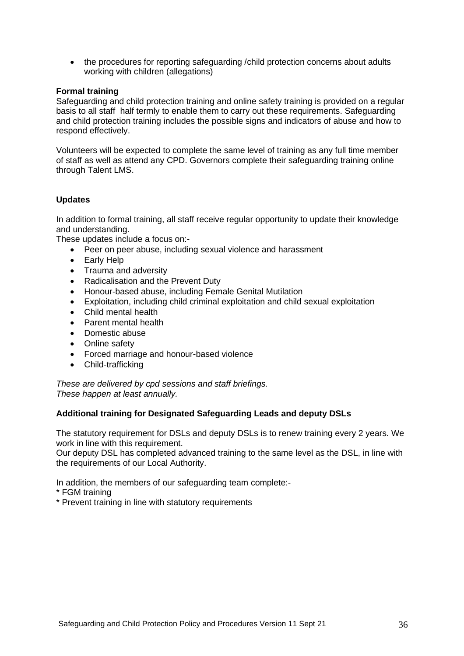• the procedures for reporting safeguarding /child protection concerns about adults working with children (allegations)

#### **Formal training**

Safeguarding and child protection training and online safety training is provided on a regular basis to all staff half termly to enable them to carry out these requirements. Safeguarding and child protection training includes the possible signs and indicators of abuse and how to respond effectively.

Volunteers will be expected to complete the same level of training as any full time member of staff as well as attend any CPD. Governors complete their safeguarding training online through Talent LMS.

## **Updates**

In addition to formal training, all staff receive regular opportunity to update their knowledge and understanding.

These updates include a focus on:-

- Peer on peer abuse, including sexual violence and harassment
- Early Help
- Trauma and adversity
- Radicalisation and the Prevent Duty
- Honour-based abuse, including Female Genital Mutilation
- Exploitation, including child criminal exploitation and child sexual exploitation
- Child mental health
- Parent mental health
- Domestic abuse
- Online safety
- Forced marriage and honour-based violence
- Child-trafficking

*These are delivered by cpd sessions and staff briefings. These happen at least annually.*

#### **Additional training for Designated Safeguarding Leads and deputy DSLs**

The statutory requirement for DSLs and deputy DSLs is to renew training every 2 years. We work in line with this requirement.

Our deputy DSL has completed advanced training to the same level as the DSL, in line with the requirements of our Local Authority.

In addition, the members of our safeguarding team complete:-

\* FGM training

\* Prevent training in line with statutory requirements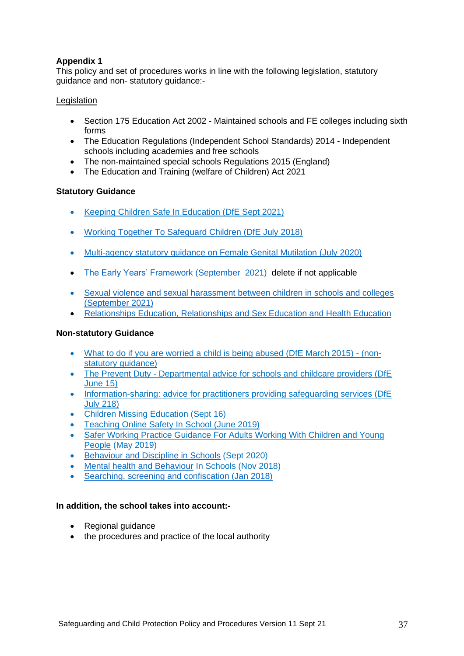## **Appendix 1**

This policy and set of procedures works in line with the following legislation, statutory guidance and non- statutory guidance:-

## **Legislation**

- Section 175 Education Act 2002 Maintained schools and FE colleges including sixth forms
- The Education Regulations (Independent School Standards) 2014 Independent schools including academies and free schools
- The non-maintained special schools Regulations 2015 (England)
- The Education and Training (welfare of Children) Act 2021

## **Statutory Guidance**

- Keeping Children [Safe In Education \(DfE Sept 2021\)](https://assets.publishing.service.gov.uk/government/uploads/system/uploads/attachment_data/file/999348/Keeping_children_safe_in_education_2021.pdf)
- [Working Together To Safeguard Children](https://assets.publishing.service.gov.uk/government/uploads/system/uploads/attachment_data/file/722305/Working_Together_to_Safeguard_Children_-_Guide.pdf) (DfE July 2018)
- [Multi-agency statutory guidance on Female Genital Mutilation \(July 2020\)](https://assets.publishing.service.gov.uk/government/uploads/system/uploads/attachment_data/file/800306/6-1914-HO-Multi_Agency_Statutory_Guidance.pdf)
- [The Early Years' Framework \(September 2021\)](https://assets.publishing.service.gov.uk/government/uploads/system/uploads/attachment_data/file/974907/EYFS_framework_-_March_2021.pdf) delete if not applicable
- [Sexual violence and sexual harassment between children](https://assets.publishing.service.gov.uk/government/uploads/system/uploads/attachment_data/file/999239/SVSH_2021.pdf) in schools and colleges [\(September 2021\)](https://assets.publishing.service.gov.uk/government/uploads/system/uploads/attachment_data/file/999239/SVSH_2021.pdf)
- [Relationships Education, Relationships and Sex Education and Health Education](https://www.gov.uk/government/publications/relationships-education-relationships-and-sex-education-rse-and-health-education)

## **Non-statutory Guidance**

- [What to do if you are worried a child](https://www.gov.uk/government/publications/what-to-do-if-youre-worried-a-child-is-being-abused--2) is being abused (DfE March 2015) (nonstatutory quidance)
- The Prevent Duty Departmental advice for schools and childcare providers (DfE) [June 15\)](https://www.gov.uk/government/uploads/system/uploads/attachment_data/file/439598/prevent-duty-departmental-advice-v6.pdf)
- [Information-sharing: advice for practitioners providing safeguarding services \(DfE](https://www.gov.uk/government/publications/safeguarding-practitioners-information-sharing-advice)  [July 218\)](https://www.gov.uk/government/publications/safeguarding-practitioners-information-sharing-advice)
- Children [Missing Education \(Sept 16\)](https://www.gov.uk/government/publications/children-missing-education)
- [Teaching Online Safety In School \(June 2019\)](https://www.gov.uk/government/publications/teaching-online-safety-in-schools)
- [Safer Working Practice Guidance For Adults Working With Children](https://www.saferrecruitmentconsortium.org/GSWP%20May%202019%20final.pdf) and Young [People](https://www.saferrecruitmentconsortium.org/GSWP%20May%202019%20final.pdf) (May 2019)
- [Behaviour and Discipline in Schools](https://assets.publishing.service.gov.uk/government/uploads/system/uploads/attachment_data/file/488034/Behaviour_and_Discipline_in_Schools_-_A_guide_for_headteachers_and_School_Staff.pdf) (Sept 2020)
- [Mental health and Behaviour](https://assets.publishing.service.gov.uk/government/uploads/system/uploads/attachment_data/file/755135/Mental_health_and_behaviour_in_schools__.pdf) In Schools (Nov 2018)
- [Searching, screening and confiscation \(Jan 2018\)](https://assets.publishing.service.gov.uk/government/uploads/system/uploads/attachment_data/file/674416/Searching_screening_and_confiscation.pdf)

## **In addition, the school takes into account:-**

- Regional guidance
- the procedures and practice of the local authority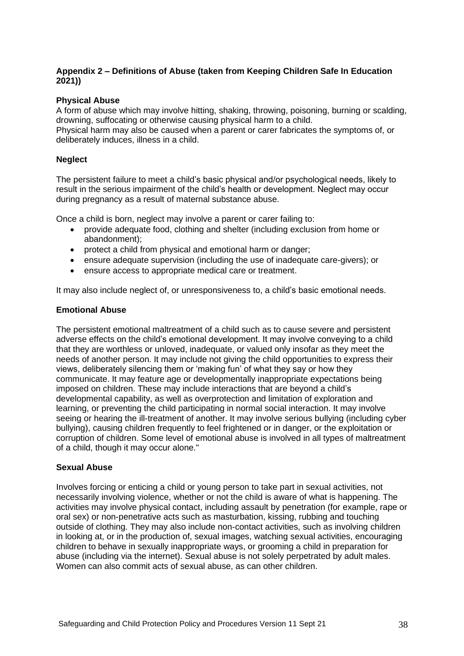## **Appendix 2 – Definitions of Abuse (taken from Keeping Children Safe In Education 2021))**

#### **Physical Abuse**

A form of abuse which may involve hitting, shaking, throwing, poisoning, burning or scalding, drowning, suffocating or otherwise causing physical harm to a child.

Physical harm may also be caused when a parent or carer fabricates the symptoms of, or deliberately induces, illness in a child.

#### **Neglect**

The persistent failure to meet a child's basic physical and/or psychological needs, likely to result in the serious impairment of the child's health or development. Neglect may occur during pregnancy as a result of maternal substance abuse.

Once a child is born, neglect may involve a parent or carer failing to:

- provide adequate food, clothing and shelter (including exclusion from home or abandonment);
- protect a child from physical and emotional harm or danger;
- ensure adequate supervision (including the use of inadequate care-givers); or
- ensure access to appropriate medical care or treatment.

It may also include neglect of, or unresponsiveness to, a child's basic emotional needs.

#### **Emotional Abuse**

The persistent emotional maltreatment of a child such as to cause severe and persistent adverse effects on the child's emotional development. It may involve conveying to a child that they are worthless or unloved, inadequate, or valued only insofar as they meet the needs of another person. It may include not giving the child opportunities to express their views, deliberately silencing them or 'making fun' of what they say or how they communicate. It may feature age or developmentally inappropriate expectations being imposed on children. These may include interactions that are beyond a child's developmental capability, as well as overprotection and limitation of exploration and learning, or preventing the child participating in normal social interaction. It may involve seeing or hearing the ill-treatment of another. It may involve serious bullying (including cyber bullying), causing children frequently to feel frightened or in danger, or the exploitation or corruption of children. Some level of emotional abuse is involved in all types of maltreatment of a child, though it may occur alone."

#### **Sexual Abuse**

Involves forcing or enticing a child or young person to take part in sexual activities, not necessarily involving violence, whether or not the child is aware of what is happening. The activities may involve physical contact, including assault by penetration (for example, rape or oral sex) or non-penetrative acts such as masturbation, kissing, rubbing and touching outside of clothing. They may also include non-contact activities, such as involving children in looking at, or in the production of, sexual images, watching sexual activities, encouraging children to behave in sexually inappropriate ways, or grooming a child in preparation for abuse (including via the internet). Sexual abuse is not solely perpetrated by adult males. Women can also commit acts of sexual abuse, as can other children.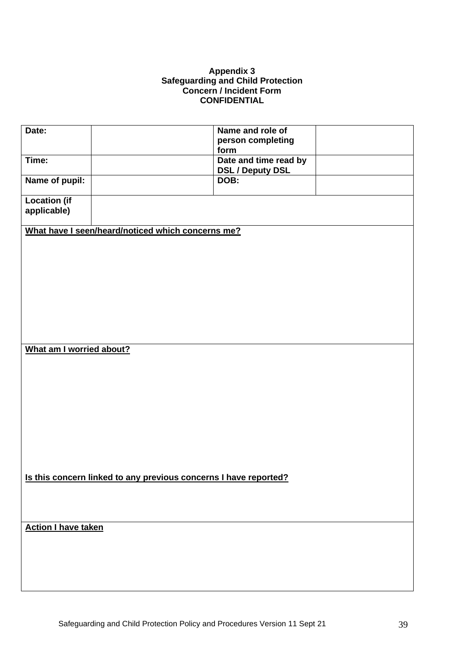## **Appendix 3 Safeguarding and Child Protection Concern / Incident Form CONFIDENTIAL**

| Date:                                                            | Name and role of        |  |
|------------------------------------------------------------------|-------------------------|--|
|                                                                  | person completing       |  |
|                                                                  | form                    |  |
| Time:                                                            | Date and time read by   |  |
|                                                                  | <b>DSL / Deputy DSL</b> |  |
| Name of pupil:                                                   | DOB:                    |  |
| <b>Location (if</b>                                              |                         |  |
|                                                                  |                         |  |
| applicable)                                                      |                         |  |
| What have I seen/heard/noticed which concerns me?                |                         |  |
|                                                                  |                         |  |
|                                                                  |                         |  |
|                                                                  |                         |  |
|                                                                  |                         |  |
|                                                                  |                         |  |
|                                                                  |                         |  |
|                                                                  |                         |  |
|                                                                  |                         |  |
|                                                                  |                         |  |
|                                                                  |                         |  |
|                                                                  |                         |  |
| What am I worried about?                                         |                         |  |
|                                                                  |                         |  |
|                                                                  |                         |  |
|                                                                  |                         |  |
|                                                                  |                         |  |
|                                                                  |                         |  |
|                                                                  |                         |  |
|                                                                  |                         |  |
|                                                                  |                         |  |
|                                                                  |                         |  |
|                                                                  |                         |  |
|                                                                  |                         |  |
|                                                                  |                         |  |
|                                                                  |                         |  |
| Is this concern linked to any previous concerns I have reported? |                         |  |
|                                                                  |                         |  |
|                                                                  |                         |  |
|                                                                  |                         |  |
|                                                                  |                         |  |
| <b>Action I have taken</b>                                       |                         |  |
|                                                                  |                         |  |
|                                                                  |                         |  |
|                                                                  |                         |  |
|                                                                  |                         |  |
|                                                                  |                         |  |
|                                                                  |                         |  |
|                                                                  |                         |  |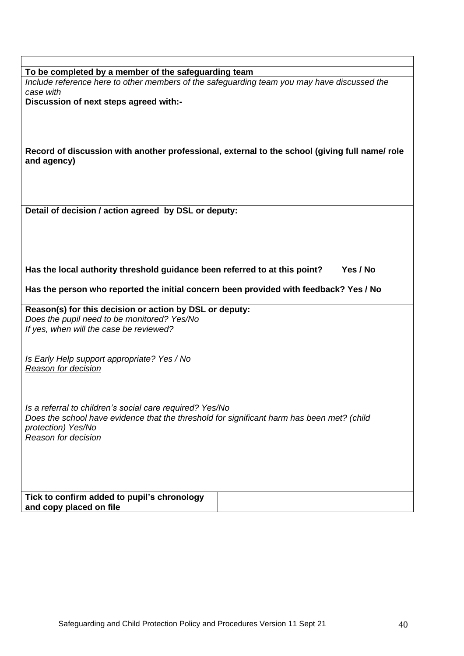| To be completed by a member of the safeguarding team                                                                                                   |  |  |
|--------------------------------------------------------------------------------------------------------------------------------------------------------|--|--|
| Include reference here to other members of the safeguarding team you may have discussed the                                                            |  |  |
| case with                                                                                                                                              |  |  |
| Discussion of next steps agreed with:-                                                                                                                 |  |  |
|                                                                                                                                                        |  |  |
|                                                                                                                                                        |  |  |
|                                                                                                                                                        |  |  |
|                                                                                                                                                        |  |  |
| Record of discussion with another professional, external to the school (giving full name/ role                                                         |  |  |
| and agency)                                                                                                                                            |  |  |
|                                                                                                                                                        |  |  |
|                                                                                                                                                        |  |  |
|                                                                                                                                                        |  |  |
|                                                                                                                                                        |  |  |
| Detail of decision / action agreed by DSL or deputy:                                                                                                   |  |  |
|                                                                                                                                                        |  |  |
|                                                                                                                                                        |  |  |
|                                                                                                                                                        |  |  |
|                                                                                                                                                        |  |  |
|                                                                                                                                                        |  |  |
| Yes / No<br>Has the local authority threshold guidance been referred to at this point?                                                                 |  |  |
|                                                                                                                                                        |  |  |
| Has the person who reported the initial concern been provided with feedback? Yes / No                                                                  |  |  |
|                                                                                                                                                        |  |  |
|                                                                                                                                                        |  |  |
| Reason(s) for this decision or action by DSL or deputy:                                                                                                |  |  |
| Does the pupil need to be monitored? Yes/No                                                                                                            |  |  |
| If yes, when will the case be reviewed?                                                                                                                |  |  |
|                                                                                                                                                        |  |  |
|                                                                                                                                                        |  |  |
|                                                                                                                                                        |  |  |
| Is Early Help support appropriate? Yes / No<br>Reason for decision                                                                                     |  |  |
|                                                                                                                                                        |  |  |
|                                                                                                                                                        |  |  |
|                                                                                                                                                        |  |  |
|                                                                                                                                                        |  |  |
| Is a referral to children's social care required? Yes/No<br>Does the school have evidence that the threshold for significant harm has been met? (child |  |  |
|                                                                                                                                                        |  |  |
| protection) Yes/No<br>Reason for decision                                                                                                              |  |  |
|                                                                                                                                                        |  |  |
|                                                                                                                                                        |  |  |
|                                                                                                                                                        |  |  |
|                                                                                                                                                        |  |  |
|                                                                                                                                                        |  |  |
| Tick to confirm added to pupil's chronology                                                                                                            |  |  |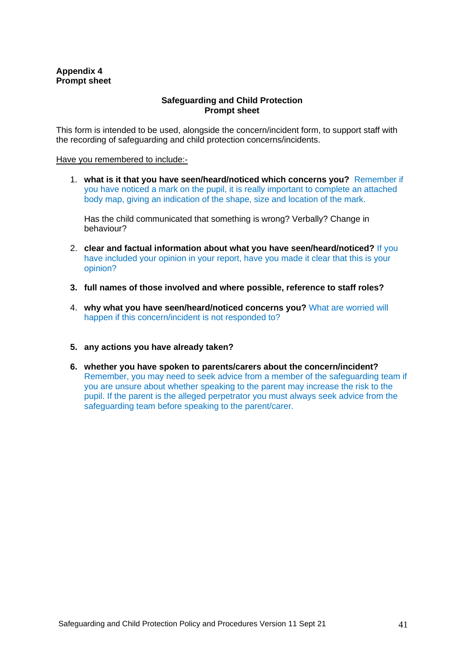## **Appendix 4 Prompt sheet**

## **Safeguarding and Child Protection Prompt sheet**

This form is intended to be used, alongside the concern/incident form, to support staff with the recording of safeguarding and child protection concerns/incidents.

#### Have you remembered to include:-

1. **what is it that you have seen/heard/noticed which concerns you?** Remember if you have noticed a mark on the pupil, it is really important to complete an attached body map, giving an indication of the shape, size and location of the mark.

Has the child communicated that something is wrong? Verbally? Change in behaviour?

- 2. **clear and factual information about what you have seen/heard/noticed?** If you have included your opinion in your report, have you made it clear that this is your opinion?
- **3. full names of those involved and where possible, reference to staff roles?**
- 4. **why what you have seen/heard/noticed concerns you?** What are worried will happen if this concern/incident is not responded to?
- **5. any actions you have already taken?**
- **6. whether you have spoken to parents/carers about the concern/incident?** Remember, you may need to seek advice from a member of the safeguarding team if you are unsure about whether speaking to the parent may increase the risk to the pupil. If the parent is the alleged perpetrator you must always seek advice from the safeguarding team before speaking to the parent/carer.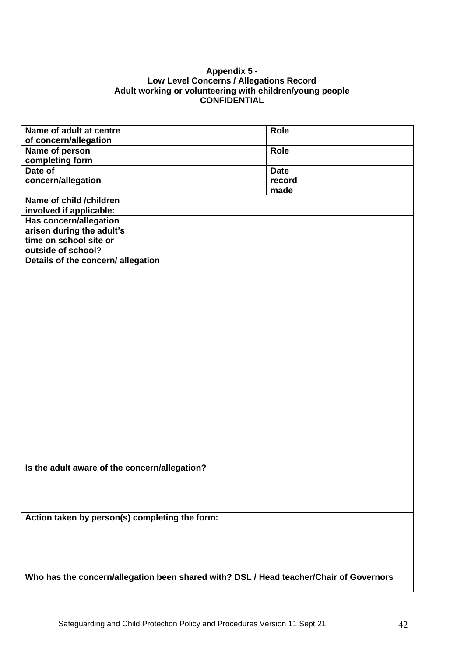#### **Appendix 5 - Low Level Concerns / Allegations Record Adult working or volunteering with children/young people CONFIDENTIAL**

| Name of adult at centre                                                                |  | Role        |
|----------------------------------------------------------------------------------------|--|-------------|
| of concern/allegation                                                                  |  |             |
| Name of person                                                                         |  | <b>Role</b> |
| completing form                                                                        |  |             |
| Date of                                                                                |  | <b>Date</b> |
| concern/allegation                                                                     |  | record      |
|                                                                                        |  | made        |
| Name of child /children                                                                |  |             |
| involved if applicable:                                                                |  |             |
| Has concern/allegation                                                                 |  |             |
| arisen during the adult's                                                              |  |             |
| time on school site or                                                                 |  |             |
| outside of school?                                                                     |  |             |
| Details of the concern/ allegation                                                     |  |             |
|                                                                                        |  |             |
|                                                                                        |  |             |
|                                                                                        |  |             |
|                                                                                        |  |             |
|                                                                                        |  |             |
|                                                                                        |  |             |
|                                                                                        |  |             |
|                                                                                        |  |             |
|                                                                                        |  |             |
|                                                                                        |  |             |
|                                                                                        |  |             |
|                                                                                        |  |             |
|                                                                                        |  |             |
|                                                                                        |  |             |
|                                                                                        |  |             |
|                                                                                        |  |             |
|                                                                                        |  |             |
|                                                                                        |  |             |
|                                                                                        |  |             |
|                                                                                        |  |             |
| Is the adult aware of the concern/allegation?                                          |  |             |
|                                                                                        |  |             |
|                                                                                        |  |             |
|                                                                                        |  |             |
|                                                                                        |  |             |
| Action taken by person(s) completing the form:                                         |  |             |
|                                                                                        |  |             |
|                                                                                        |  |             |
|                                                                                        |  |             |
|                                                                                        |  |             |
|                                                                                        |  |             |
| Who has the concern/allegation been shared with? DSL / Head teacher/Chair of Governors |  |             |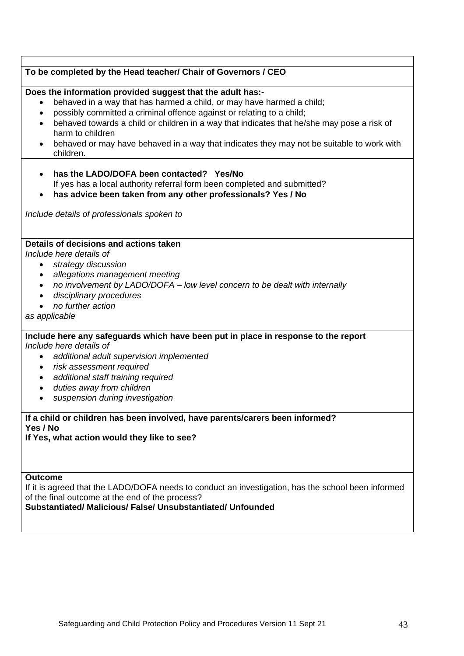# **To be completed by the Head teacher/ Chair of Governors / CEO Does the information provided suggest that the adult has:-** • behaved in a way that has harmed a child, or may have harmed a child; • possibly committed a criminal offence against or relating to a child; • behaved towards a child or children in a way that indicates that he/she may pose a risk of harm to children • behaved or may have behaved in a way that indicates they may not be suitable to work with children. • **has the LADO/DOFA been contacted? Yes/No**  If yes has a local authority referral form been completed and submitted? • **has advice been taken from any other professionals? Yes / No** *Include details of professionals spoken to*  **Details of decisions and actions taken** *Include here details of*  • *strategy discussion* • *allegations management meeting*  • *no involvement by LADO/DOFA – low level concern to be dealt with internally* • *disciplinary procedures* • *no further action as applicable* **Include here any safeguards which have been put in place in response to the report** *Include here details of* • *additional adult supervision implemented* • *risk assessment required* • *additional staff training required* • *duties away from children* • *suspension during investigation* **If a child or children has been involved, have parents/carers been informed? Yes / No**

**If Yes, what action would they like to see?**

## **Outcome**

If it is agreed that the LADO/DOFA needs to conduct an investigation, has the school been informed of the final outcome at the end of the process?

## **Substantiated/ Malicious/ False/ Unsubstantiated/ Unfounded**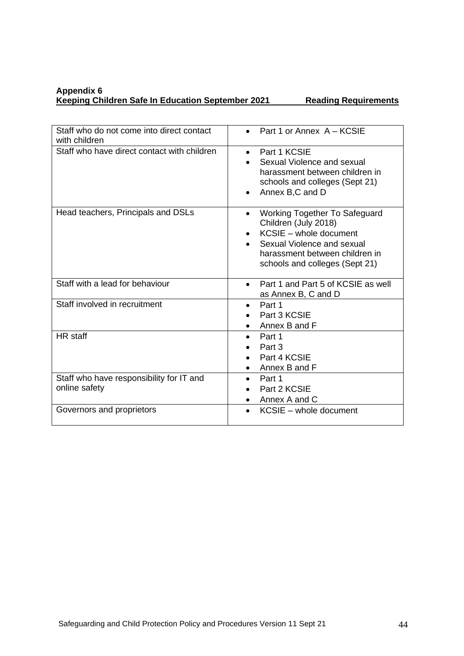## **Appendix 6 Keeping Children Safe In Education September 2021 Reading Requirements**

| Staff who do not come into direct contact<br>with children | • Part 1 or Annex A - KCSIE                                                                                                                                                                                 |  |
|------------------------------------------------------------|-------------------------------------------------------------------------------------------------------------------------------------------------------------------------------------------------------------|--|
| Staff who have direct contact with children                | Part 1 KCSIE<br>$\bullet$<br>Sexual Violence and sexual<br>harassment between children in<br>schools and colleges (Sept 21)<br>Annex B,C and D<br>$\bullet$                                                 |  |
| Head teachers, Principals and DSLs                         | Working Together To Safeguard<br>$\bullet$<br>Children (July 2018)<br>KCSIE - whole document<br>$\bullet$<br>Sexual Violence and sexual<br>harassment between children in<br>schools and colleges (Sept 21) |  |
| Staff with a lead for behaviour                            | Part 1 and Part 5 of KCSIE as well<br>$\bullet$<br>as Annex B, C and D                                                                                                                                      |  |
| Staff involved in recruitment                              | Part 1<br>Part 3 KCSIE<br>Annex B and F                                                                                                                                                                     |  |
| <b>HR</b> staff                                            | Part 1<br>Part 3<br>Part 4 KCSIE<br>Annex B and F                                                                                                                                                           |  |
| Staff who have responsibility for IT and<br>online safety  | Part 1<br>$\bullet$<br>Part 2 KCSIE<br>Annex A and C                                                                                                                                                        |  |
| Governors and proprietors                                  | KCSIE - whole document                                                                                                                                                                                      |  |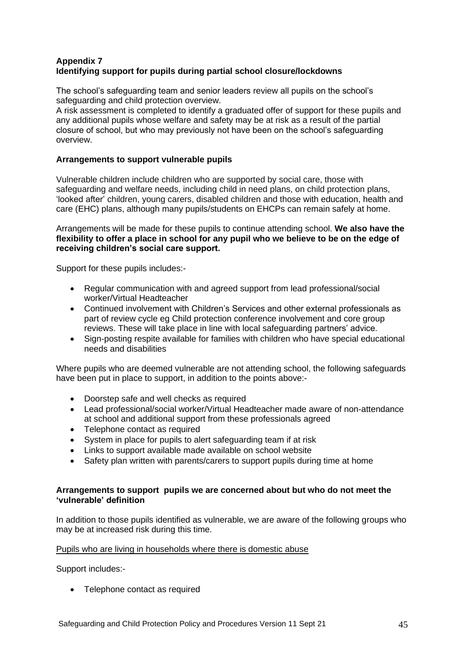## **Appendix 7 Identifying support for pupils during partial school closure/lockdowns**

The school's safeguarding team and senior leaders review all pupils on the school's safeguarding and child protection overview.

A risk assessment is completed to identify a graduated offer of support for these pupils and any additional pupils whose welfare and safety may be at risk as a result of the partial closure of school, but who may previously not have been on the school's safeguarding overview.

## **Arrangements to support vulnerable pupils**

Vulnerable children include children who are supported by social care, those with safeguarding and welfare needs, including child in need plans, on child protection plans, 'looked after' children, young carers, disabled children and those with education, health and care (EHC) plans, although many pupils/students on EHCPs can remain safely at home.

Arrangements will be made for these pupils to continue attending school. **We also have the flexibility to offer a place in school for any pupil who we believe to be on the edge of receiving children's social care support.**

Support for these pupils includes:-

- Regular communication with and agreed support from lead professional/social worker/Virtual Headteacher
- Continued involvement with Children's Services and other external professionals as part of review cycle eg Child protection conference involvement and core group reviews. These will take place in line with local safeguarding partners' advice.
- Sign-posting respite available for families with children who have special educational needs and disabilities

Where pupils who are deemed vulnerable are not attending school, the following safeguards have been put in place to support, in addition to the points above:-

- Doorstep safe and well checks as required
- Lead professional/social worker/Virtual Headteacher made aware of non-attendance at school and additional support from these professionals agreed
- Telephone contact as required
- System in place for pupils to alert safeguarding team if at risk
- Links to support available made available on school website
- Safety plan written with parents/carers to support pupils during time at home

#### **Arrangements to support pupils we are concerned about but who do not meet the 'vulnerable' definition**

In addition to those pupils identified as vulnerable, we are aware of the following groups who may be at increased risk during this time.

#### Pupils who are living in households where there is domestic abuse

Support includes:-

• Telephone contact as required